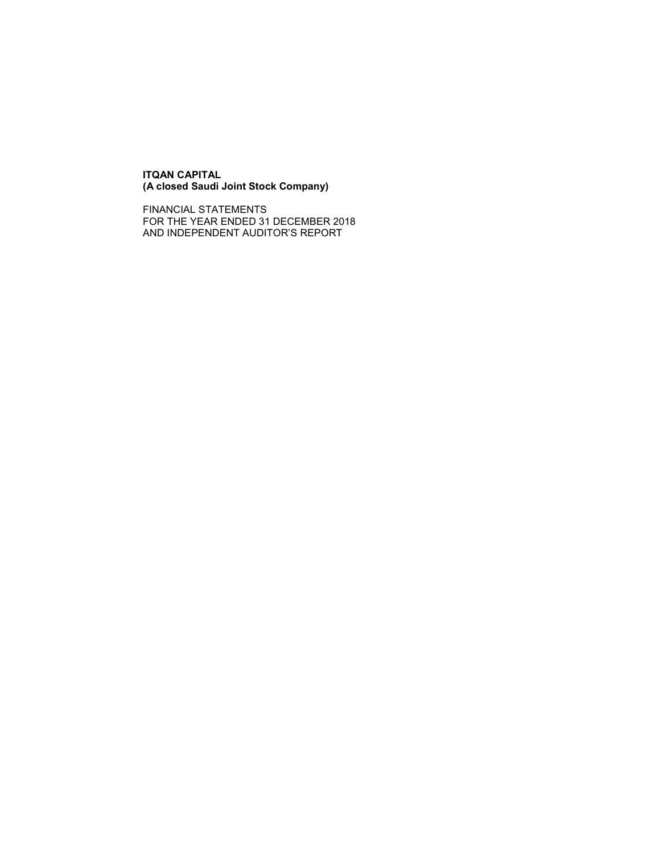ITQAN CAPITAL (A closed Saudi Joint Stock Company)

FINANCIAL STATEMENTS FOR THE YEAR ENDED 31 DECEMBER 2018 AND INDEPENDENT AUDITOR'S REPORT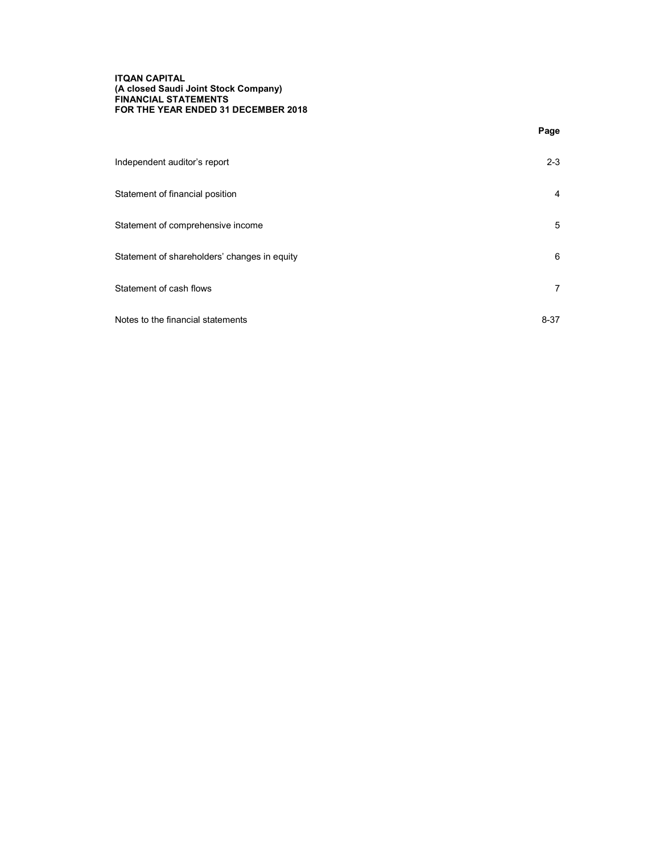# ITQAN CAPITAL (A closed Saudi Joint Stock Company) FINANCIAL STATEMENTS FOR THE YEAR ENDED 31 DECEMBER 2018

| Independent auditor's report                 | $2 - 3$ |
|----------------------------------------------|---------|
| Statement of financial position              | 4       |
| Statement of comprehensive income            | 5       |
| Statement of shareholders' changes in equity | 6       |
| Statement of cash flows                      | 7       |
| Notes to the financial statements            | 8-37    |

Page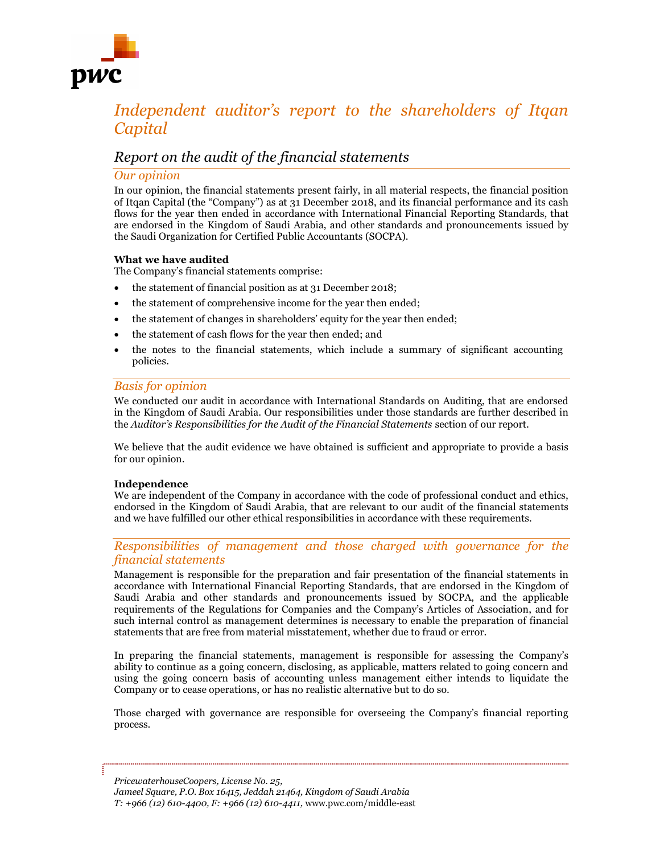

# Independent auditor's report to the shareholders of Itqan **Capital**

# Report on the audit of the financial statements

# Our opinion

In our opinion, the financial statements present fairly, in all material respects, the financial position of Itqan Capital (the "Company") as at 31 December 2018, and its financial performance and its cash flows for the year then ended in accordance with International Financial Reporting Standards, that are endorsed in the Kingdom of Saudi Arabia, and other standards and pronouncements issued by the Saudi Organization for Certified Public Accountants (SOCPA).

# What we have audited

The Company's financial statements comprise:

- the statement of financial position as at 31 December 2018;
- the statement of comprehensive income for the year then ended;
- the statement of changes in shareholders' equity for the year then ended;
- the statement of cash flows for the year then ended; and
- the notes to the financial statements, which include a summary of significant accounting policies.

# Basis for opinion

We conducted our audit in accordance with International Standards on Auditing, that are endorsed in the Kingdom of Saudi Arabia. Our responsibilities under those standards are further described in the Auditor's Responsibilities for the Audit of the Financial Statements section of our report.

We believe that the audit evidence we have obtained is sufficient and appropriate to provide a basis for our opinion.

# Independence

We are independent of the Company in accordance with the code of professional conduct and ethics, endorsed in the Kingdom of Saudi Arabia, that are relevant to our audit of the financial statements and we have fulfilled our other ethical responsibilities in accordance with these requirements.

# Responsibilities of management and those charged with governance for the financial statements

Management is responsible for the preparation and fair presentation of the financial statements in accordance with International Financial Reporting Standards, that are endorsed in the Kingdom of Saudi Arabia and other standards and pronouncements issued by SOCPA, and the applicable requirements of the Regulations for Companies and the Company's Articles of Association, and for such internal control as management determines is necessary to enable the preparation of financial statements that are free from material misstatement, whether due to fraud or error.

In preparing the financial statements, management is responsible for assessing the Company's ability to continue as a going concern, disclosing, as applicable, matters related to going concern and using the going concern basis of accounting unless management either intends to liquidate the Company or to cease operations, or has no realistic alternative but to do so.

Those charged with governance are responsible for overseeing the Company's financial reporting process.

PricewaterhouseCoopers, License No. 25, Jameel Square, P.O. Box 16415, Jeddah 21464, Kingdom of Saudi Arabia T: +966 (12) 610-4400, F: +966 (12) 610-4411, www.pwc.com/middle-east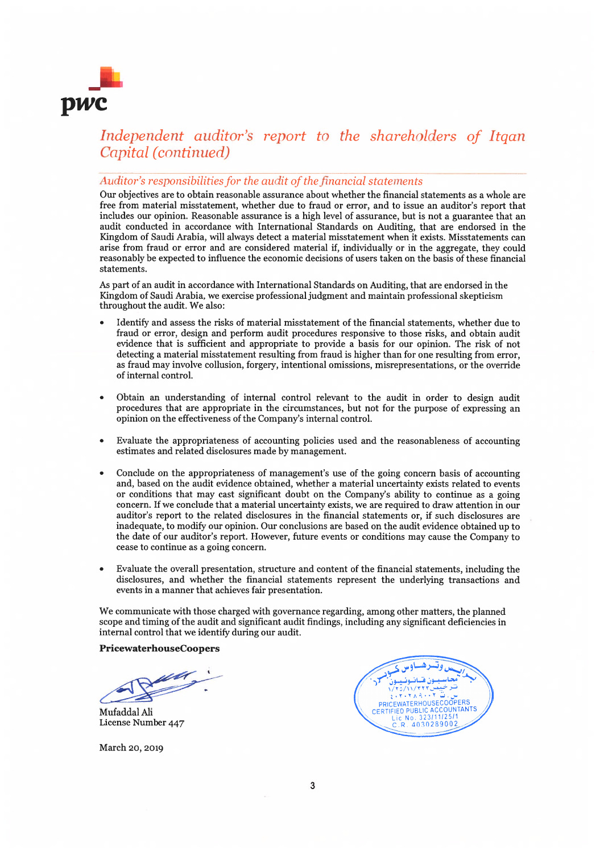

# Independent auditor's report to the shareholders of Itgan Capital (continued)

# Auditor's responsibilities for the audit of the financial statements

Our obiectives are to obtain reasonable assurance about whether the financial statements as a whole are free from material misstatement, whether due to fraud or error, and to issue an auditor's report that includes our opinion. Reasonable assurance is a high level of assurance, but is not a guarantee that an audit conducted in accordance with International Standards on Auditing, that are endorsed in the Kingdom of Saudi Arabia, will always detect a material misstatement when it exists. Misstatements can arise from fraud or error and are considered material if, individually or in the aggregate, they could reasonably be expected to influence the economic decisions of users taken on the basis of these financial statements.

As part of an audit in accordance with International Standards on Auditing, that are endorsed in the Kingdom of Saudi Arabia, we exercise professional judgment and maintain professional skepticism throughout the audit. We also:

- Identify and assess the risks of material misstatement of the financial statements, whether due to fraud or error, design and perform audit procedures responsive to those risks, and obtain audit evidence that is sufficient and appropriate to provide a basis for our opinion. The risk of not detecting a material misstatement resulting from fraud is higher than for one resulting from error, as fraud may involve collusion, forgery, intentional omissions, misrepresentations, or the override of internal control.
- Obtain an understanding of internal control relevant to the audit in order to design audit procedures that are appropriate in the circumstances, but not for the purpose of expressing an opinion on the effectiveness of the Company's internal control.
- Evaluate the appropriateness of accounting policies used and the reasonableness of accounting estimates and related disclosures made by management.
- Conclude on the appropriateness of management's use of the going concern basis of accounting and, based on the audit evidence obtained, whether a material uncertainty exists related to events or conditions that may cast significant doubt on the Company's ability to continue as a going concern. If we conclude that a material uncertainty exists, we are required to draw attention in our auditor's report to the related disclosures in the financial statements or, if such disclosures are inadequate, to modify our opinion. Our conclusions are based on the audit evidence obtained up to the date of our auditor's report. However, future events or conditions may cause the Company to cease to continue as a going concern.
- Evaluate the overall presentation, structure and content of the financial statements, including the disclosures, and whether the financial statements represent the underlying transactions and events in a manner that achieves fair presentation.

We communicate with those charged with governance regarding, among other matters, the planned scope and timing of the audit and significant audit findings, including any significant deficiencies in internal control that we identify during our audit.

PricewaterhouseCoopers

Mufaddal Ali License Number 447

March 20, 2019

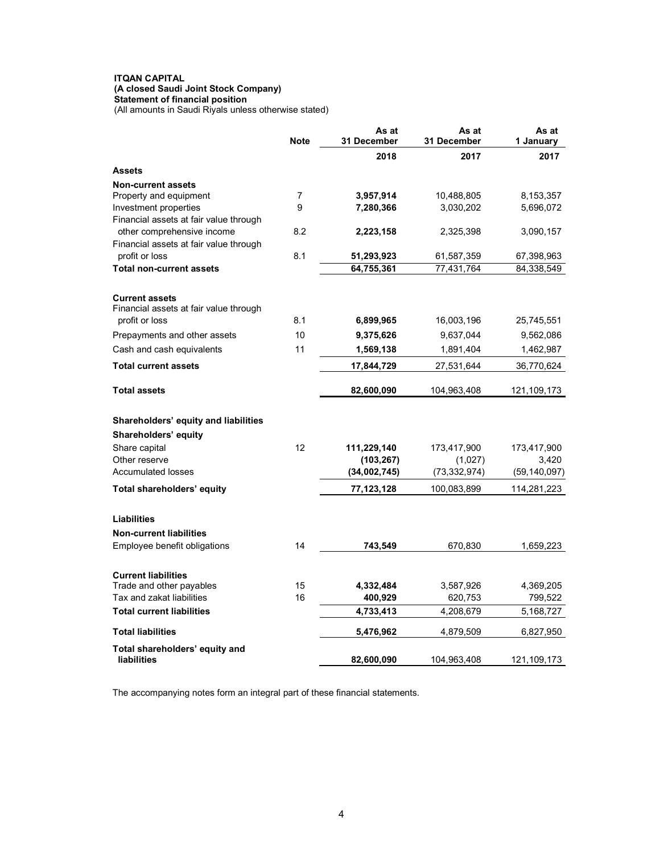# ITQAN CAPITAL (A closed Saudi Joint Stock Company) Statement of financial position

(All amounts in Saudi Riyals unless otherwise stated)

|                                                                 | <b>Note</b> | As at<br>31 December | As at<br>31 December | As at<br>1 January |
|-----------------------------------------------------------------|-------------|----------------------|----------------------|--------------------|
|                                                                 |             | 2018                 | 2017                 | 2017               |
| <b>Assets</b>                                                   |             |                      |                      |                    |
| <b>Non-current assets</b>                                       |             |                      |                      |                    |
| Property and equipment                                          | 7           | 3,957,914            | 10,488,805           | 8,153,357          |
| Investment properties                                           | 9           | 7,280,366            | 3,030,202            | 5,696,072          |
| Financial assets at fair value through                          |             |                      |                      |                    |
| other comprehensive income                                      | 8.2         | 2,223,158            | 2,325,398            | 3,090,157          |
| Financial assets at fair value through                          |             |                      |                      |                    |
| profit or loss                                                  | 8.1         | 51,293,923           | 61,587,359           | 67,398,963         |
| <b>Total non-current assets</b>                                 |             | 64,755,361           | 77,431,764           | 84,338,549         |
| <b>Current assets</b><br>Financial assets at fair value through |             |                      |                      |                    |
| profit or loss                                                  | 8.1         | 6,899,965            | 16,003,196           | 25,745,551         |
| Prepayments and other assets                                    | 10          | 9,375,626            | 9,637,044            | 9,562,086          |
| Cash and cash equivalents                                       | 11          | 1,569,138            | 1,891,404            | 1,462,987          |
| <b>Total current assets</b>                                     |             | 17,844,729           | 27,531,644           | 36,770,624         |
|                                                                 |             |                      |                      |                    |
| <b>Total assets</b>                                             |             | 82,600,090           | 104,963,408          | 121,109,173        |
| <b>Shareholders' equity and liabilities</b>                     |             |                      |                      |                    |
| <b>Shareholders' equity</b>                                     |             |                      |                      |                    |
| Share capital                                                   | 12          | 111,229,140          | 173,417,900          | 173,417,900        |
| Other reserve<br><b>Accumulated losses</b>                      |             | (103, 267)           | (1,027)              | 3,420              |
|                                                                 |             | (34,002,745)         | (73, 332, 974)       | (59, 140, 097)     |
| Total shareholders' equity                                      |             | 77,123,128           | 100,083,899          | 114,281,223        |
| <b>Liabilities</b>                                              |             |                      |                      |                    |
| <b>Non-current liabilities</b>                                  |             |                      |                      |                    |
| Employee benefit obligations                                    | 14          | 743,549              | 670,830              | 1,659,223          |
| <b>Current liabilities</b>                                      |             |                      |                      |                    |
| Trade and other payables                                        | 15          | 4,332,484            | 3,587,926            | 4,369,205          |
| Tax and zakat liabilities                                       | 16          | 400,929              | 620,753              | 799,522            |
| <b>Total current liabilities</b>                                |             | 4,733,413            | 4,208,679            | 5,168,727          |
| <b>Total liabilities</b>                                        |             | 5,476,962            | 4,879,509            | 6,827,950          |
| Total shareholders' equity and<br>liabilities                   |             | 82,600,090           | 104,963,408          | 121,109,173        |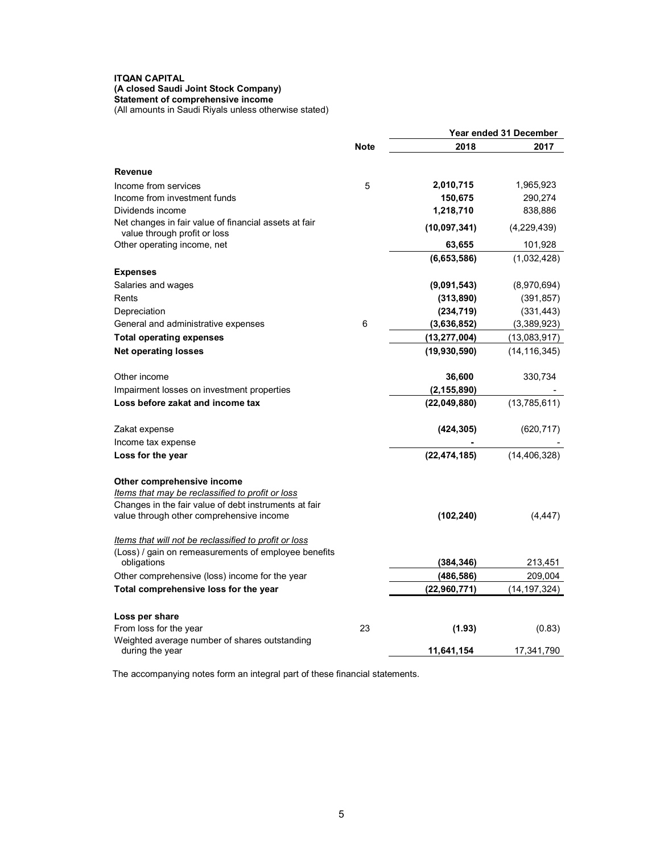# ITQAN CAPITAL (A closed Saudi Joint Stock Company) Statement of comprehensive income (All amounts in Saudi Riyals unless otherwise stated)

|                                                                                       |             | Year ended 31 December |                |  |
|---------------------------------------------------------------------------------------|-------------|------------------------|----------------|--|
|                                                                                       | <b>Note</b> | 2018                   | 2017           |  |
|                                                                                       |             |                        |                |  |
| Revenue                                                                               |             |                        |                |  |
| Income from services                                                                  | 5           | 2,010,715              | 1,965,923      |  |
| Income from investment funds                                                          |             | 150,675                | 290,274        |  |
| Dividends income                                                                      |             | 1,218,710              | 838,886        |  |
| Net changes in fair value of financial assets at fair<br>value through profit or loss |             | (10,097,341)           | (4,229,439)    |  |
| Other operating income, net                                                           |             | 63,655                 | 101,928        |  |
|                                                                                       |             | (6,653,586)            | (1,032,428)    |  |
| <b>Expenses</b>                                                                       |             |                        |                |  |
| Salaries and wages                                                                    |             | (9,091,543)            | (8,970,694)    |  |
| Rents                                                                                 |             | (313, 890)             | (391, 857)     |  |
| Depreciation                                                                          |             | (234, 719)             | (331, 443)     |  |
| General and administrative expenses                                                   | 6           | (3,636,852)            | (3,389,923)    |  |
| <b>Total operating expenses</b>                                                       |             | (13, 277, 004)         | (13,083,917)   |  |
| <b>Net operating losses</b>                                                           |             | (19,930,590)           | (14, 116, 345) |  |
| Other income                                                                          |             | 36,600                 | 330,734        |  |
| Impairment losses on investment properties                                            |             | (2, 155, 890)          |                |  |
| Loss before zakat and income tax                                                      |             | (22,049,880)           | (13,785,611)   |  |
| Zakat expense                                                                         |             | (424, 305)             | (620, 717)     |  |
| Income tax expense                                                                    |             |                        |                |  |
| Loss for the year                                                                     |             | (22, 474, 185)         | (14, 406, 328) |  |
| Other comprehensive income                                                            |             |                        |                |  |
| Items that may be reclassified to profit or loss                                      |             |                        |                |  |
| Changes in the fair value of debt instruments at fair                                 |             |                        |                |  |
| value through other comprehensive income                                              |             | (102, 240)             | (4, 447)       |  |
| <u>Items that will not be reclassified to profit or loss</u>                          |             |                        |                |  |
| (Loss) / gain on remeasurements of employee benefits<br>obligations                   |             | (384,346)              | 213,451        |  |
| Other comprehensive (loss) income for the year                                        |             | (486, 586)             | 209,004        |  |
| Total comprehensive loss for the year                                                 |             | (22, 960, 771)         | (14, 197, 324) |  |
|                                                                                       |             |                        |                |  |
| Loss per share                                                                        |             |                        |                |  |
| From loss for the year                                                                | 23          | (1.93)                 | (0.83)         |  |
| Weighted average number of shares outstanding                                         |             |                        |                |  |
| during the year                                                                       |             | 11,641,154             | 17,341,790     |  |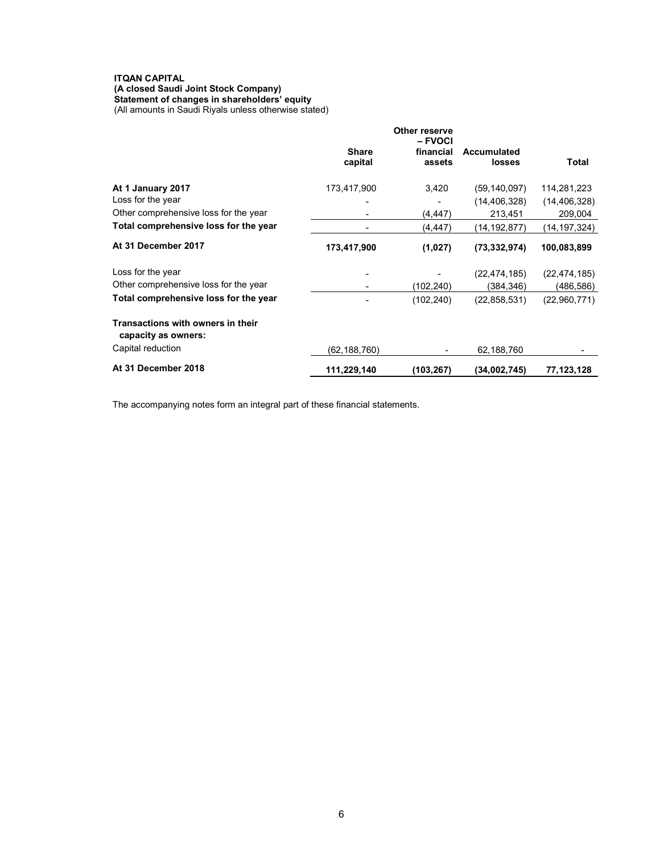# ITQAN CAPITAL (A closed Saudi Joint Stock Company) Statement of changes in shareholders' equity (All amounts in Saudi Riyals unless otherwise stated)

|                                                          |                         | Other reserve<br>– FVOCI |                              |                |
|----------------------------------------------------------|-------------------------|--------------------------|------------------------------|----------------|
|                                                          | <b>Share</b><br>capital | financial<br>assets      | <b>Accumulated</b><br>losses | Total          |
| At 1 January 2017                                        | 173,417,900             | 3,420                    | (59, 140, 097)               | 114,281,223    |
| Loss for the year                                        |                         |                          | (14, 406, 328)               | (14, 406, 328) |
| Other comprehensive loss for the year                    |                         | (4,447)                  | 213,451                      | 209,004        |
| Total comprehensive loss for the year                    |                         | (4, 447)                 | (14,192,877)                 | (14,197,324)   |
| At 31 December 2017                                      | 173,417,900             | (1,027)                  | (73, 332, 974)               | 100,083,899    |
| Loss for the year                                        |                         |                          | (22, 474, 185)               | (22, 474, 185) |
| Other comprehensive loss for the year                    |                         | (102,240)                | (384, 346)                   | (486,586)      |
| Total comprehensive loss for the year                    |                         | (102, 240)               | (22, 858, 531)               | (22,960,771)   |
| Transactions with owners in their<br>capacity as owners: |                         |                          |                              |                |
| Capital reduction                                        | (62,188,760)            |                          | 62,188,760                   |                |
| At 31 December 2018                                      | 111,229,140             | (103,267)                | (34,002,745)                 | 77,123,128     |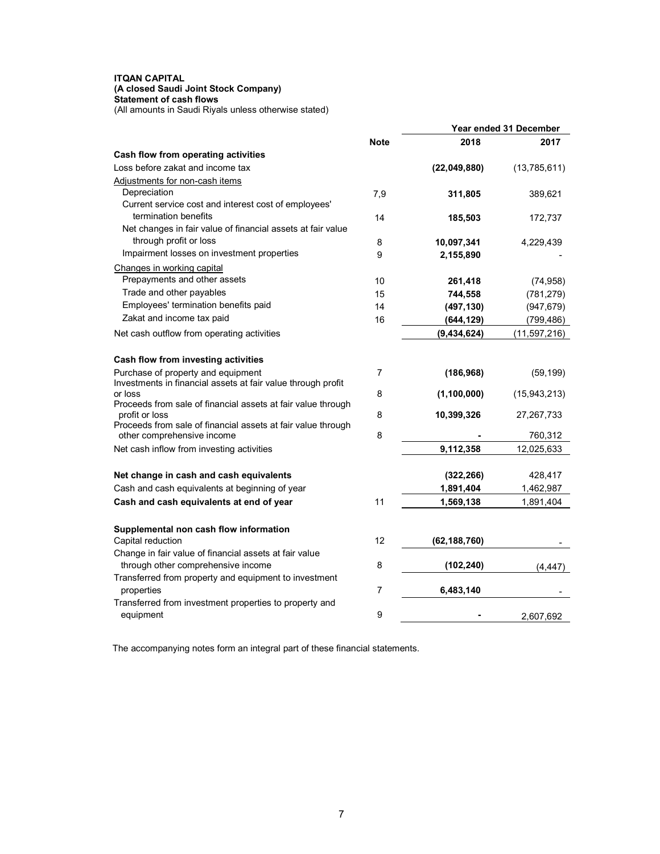# ITQAN CAPITAL (A closed Saudi Joint Stock Company) Statement of cash flows

(All amounts in Saudi Riyals unless otherwise stated)

|                                                                                            |             | Year ended 31 December |                |  |
|--------------------------------------------------------------------------------------------|-------------|------------------------|----------------|--|
|                                                                                            | <b>Note</b> | 2018                   | 2017           |  |
| Cash flow from operating activities                                                        |             |                        |                |  |
| Loss before zakat and income tax                                                           |             | (22,049,880)           | (13,785,611)   |  |
| Adjustments for non-cash items                                                             |             |                        |                |  |
| Depreciation                                                                               | 7,9         | 311,805                | 389,621        |  |
| Current service cost and interest cost of employees'                                       |             |                        |                |  |
| termination benefits                                                                       | 14          | 185,503                | 172,737        |  |
| Net changes in fair value of financial assets at fair value                                |             |                        |                |  |
| through profit or loss                                                                     | 8           | 10,097,341             | 4,229,439      |  |
| Impairment losses on investment properties                                                 | 9           | 2,155,890              |                |  |
| Changes in working capital                                                                 |             |                        |                |  |
| Prepayments and other assets                                                               | 10          | 261,418                | (74, 958)      |  |
| Trade and other payables                                                                   | 15          | 744,558                | (781, 279)     |  |
| Employees' termination benefits paid                                                       | 14          | (497, 130)             | (947, 679)     |  |
| Zakat and income tax paid                                                                  | 16          | (644, 129)             | (799, 486)     |  |
| Net cash outflow from operating activities                                                 |             | (9,434,624)            | (11, 597, 216) |  |
| Cash flow from investing activities                                                        |             |                        |                |  |
| Purchase of property and equipment                                                         | 7           | (186, 968)             | (59, 199)      |  |
| Investments in financial assets at fair value through profit<br>or loss                    | 8           | (1, 100, 000)          | (15, 943, 213) |  |
| Proceeds from sale of financial assets at fair value through                               |             |                        |                |  |
| profit or loss                                                                             | 8           | 10,399,326             | 27, 267, 733   |  |
| Proceeds from sale of financial assets at fair value through<br>other comprehensive income | 8           |                        | 760,312        |  |
| Net cash inflow from investing activities                                                  |             | 9,112,358              | 12,025,633     |  |
|                                                                                            |             |                        |                |  |
| Net change in cash and cash equivalents                                                    |             | (322, 266)             | 428,417        |  |
| Cash and cash equivalents at beginning of year                                             |             | 1,891,404              | 1,462,987      |  |
| Cash and cash equivalents at end of year                                                   | 11          | 1,569,138              | 1,891,404      |  |
| Supplemental non cash flow information                                                     |             |                        |                |  |
| Capital reduction                                                                          | 12          | (62, 188, 760)         |                |  |
| Change in fair value of financial assets at fair value                                     |             |                        |                |  |
| through other comprehensive income                                                         | 8           | (102, 240)             | (4, 447)       |  |
| Transferred from property and equipment to investment                                      |             |                        |                |  |
| properties                                                                                 | 7           | 6,483,140              |                |  |
| Transferred from investment properties to property and<br>equipment                        | 9           |                        | 2,607,692      |  |
|                                                                                            |             |                        |                |  |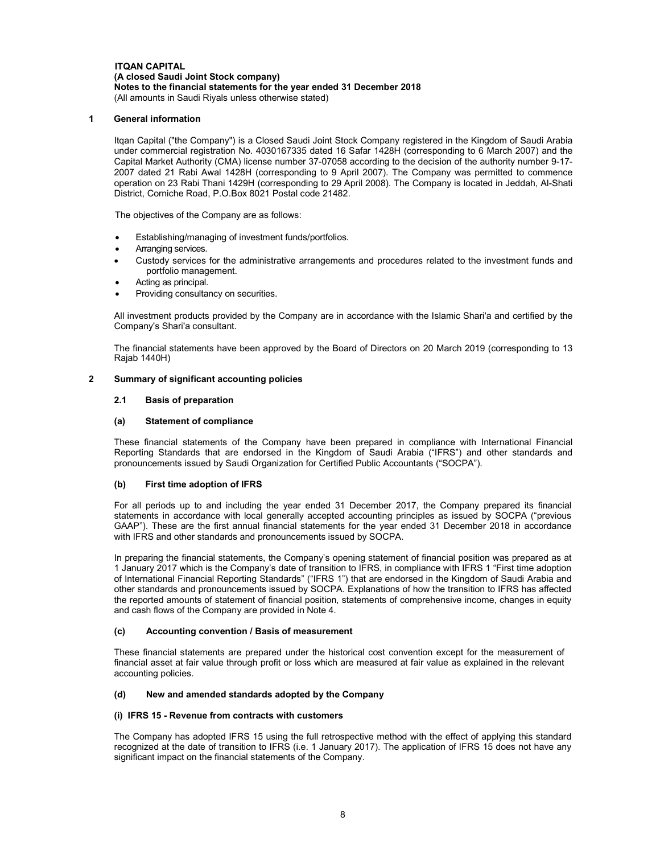# 1 General information

Itqan Capital ("the Company") is a Closed Saudi Joint Stock Company registered in the Kingdom of Saudi Arabia under commercial registration No. 4030167335 dated 16 Safar 1428H (corresponding to 6 March 2007) and the Capital Market Authority (CMA) license number 37-07058 according to the decision of the authority number 9-17- 2007 dated 21 Rabi Awal 1428H (corresponding to 9 April 2007). The Company was permitted to commence operation on 23 Rabi Thani 1429H (corresponding to 29 April 2008). The Company is located in Jeddah, Al-Shati District, Corniche Road, P.O.Box 8021 Postal code 21482.

The objectives of the Company are as follows:

- Establishing/managing of investment funds/portfolios.
- Arranging services.
- Custody services for the administrative arrangements and procedures related to the investment funds and portfolio management.
- Acting as principal.
- Providing consultancy on securities.

All investment products provided by the Company are in accordance with the Islamic Shari'a and certified by the Company's Shari'a consultant.

The financial statements have been approved by the Board of Directors on 20 March 2019 (corresponding to 13 Rajab 1440H)

# 2 Summary of significant accounting policies

#### 2.1 Basis of preparation

#### (a) Statement of compliance

These financial statements of the Company have been prepared in compliance with International Financial Reporting Standards that are endorsed in the Kingdom of Saudi Arabia ("IFRS") and other standards and pronouncements issued by Saudi Organization for Certified Public Accountants ("SOCPA").

# (b) First time adoption of IFRS

For all periods up to and including the year ended 31 December 2017, the Company prepared its financial statements in accordance with local generally accepted accounting principles as issued by SOCPA ("previous GAAP"). These are the first annual financial statements for the year ended 31 December 2018 in accordance with IFRS and other standards and pronouncements issued by SOCPA.

In preparing the financial statements, the Company's opening statement of financial position was prepared as at 1 January 2017 which is the Company's date of transition to IFRS, in compliance with IFRS 1 "First time adoption of International Financial Reporting Standards" ("IFRS 1") that are endorsed in the Kingdom of Saudi Arabia and other standards and pronouncements issued by SOCPA. Explanations of how the transition to IFRS has affected the reported amounts of statement of financial position, statements of comprehensive income, changes in equity and cash flows of the Company are provided in Note 4.

# (c) Accounting convention / Basis of measurement

These financial statements are prepared under the historical cost convention except for the measurement of financial asset at fair value through profit or loss which are measured at fair value as explained in the relevant accounting policies.

# (d) New and amended standards adopted by the Company

# (i) IFRS 15 - Revenue from contracts with customers

The Company has adopted IFRS 15 using the full retrospective method with the effect of applying this standard recognized at the date of transition to IFRS (i.e. 1 January 2017). The application of IFRS 15 does not have any significant impact on the financial statements of the Company.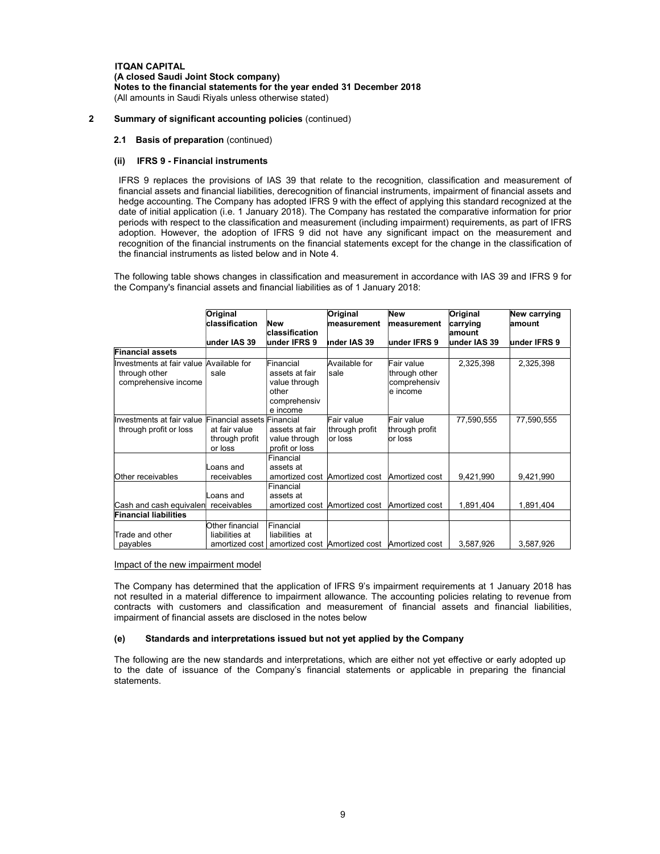# 2 Summary of significant accounting policies (continued)

# 2.1 Basis of preparation (continued)

# (ii) IFRS 9 - Financial instruments

IFRS 9 replaces the provisions of IAS 39 that relate to the recognition, classification and measurement of financial assets and financial liabilities, derecognition of financial instruments, impairment of financial assets and hedge accounting. The Company has adopted IFRS 9 with the effect of applying this standard recognized at the date of initial application (i.e. 1 January 2018). The Company has restated the comparative information for prior periods with respect to the classification and measurement (including impairment) requirements, as part of IFRS adoption. However, the adoption of IFRS 9 did not have any significant impact on the measurement and recognition of the financial instruments on the financial statements except for the change in the classification of the financial instruments as listed below and in Note 4.

The following table shows changes in classification and measurement in accordance with IAS 39 and IFRS 9 for the Company's financial assets and financial liabilities as of 1 January 2018:

|                                                                                               | Original<br>classification<br>under IAS 39          | New<br>classification<br>under IFRS 9                                             | Original<br>measurement<br><b>Inder IAS 39</b> | <b>New</b><br>measurement<br>under IFRS 9                | Original<br>carrying<br>amount<br>under IAS 39 | New carrying<br>lamount<br>under IFRS 9 |
|-----------------------------------------------------------------------------------------------|-----------------------------------------------------|-----------------------------------------------------------------------------------|------------------------------------------------|----------------------------------------------------------|------------------------------------------------|-----------------------------------------|
| <b>Financial assets</b>                                                                       |                                                     |                                                                                   |                                                |                                                          |                                                |                                         |
| Investments at fair value <sup>l</sup> Available for<br>through other<br>comprehensive income | sale                                                | Financial<br>assets at fair<br>value through<br>other<br>comprehensiv<br>e income | Available for<br>sale                          | Fair value<br>through other<br>comprehensiv<br>le income | 2,325,398                                      | 2,325,398                               |
| Investments at fair value lFinancial assets lFinancial<br>through profit or loss              | at fair value<br>through profit<br>or loss          | assets at fair<br>value through<br>profit or loss                                 | Fair value<br>through profit<br>or loss        | Fair value<br>through profit<br>or loss                  | 77,590,555                                     | 77,590,555                              |
| Other receivables                                                                             | Loans and<br>receivables<br>Loans and               | Financial<br>assets at<br>Financial<br>assets at                                  | amortized cost Amortized cost                  | Amortized cost                                           | 9,421,990                                      | 9,421,990                               |
| Cash and cash equivalen receivables                                                           |                                                     |                                                                                   | amortized cost Amortized cost                  | Amortized cost                                           | 1,891,404                                      | 1,891,404                               |
| <b>Financial liabilities</b>                                                                  |                                                     |                                                                                   |                                                |                                                          |                                                |                                         |
| Trade and other<br>payables                                                                   | Other financial<br>liabilities at<br>amortized cost | Financial<br>liabilities at                                                       | amortized cost Amortized cost Amortized cost   |                                                          | 3,587,926                                      | 3,587,926                               |

#### Impact of the new impairment model

The Company has determined that the application of IFRS 9's impairment requirements at 1 January 2018 has not resulted in a material difference to impairment allowance. The accounting policies relating to revenue from contracts with customers and classification and measurement of financial assets and financial liabilities, impairment of financial assets are disclosed in the notes below

#### (e) Standards and interpretations issued but not yet applied by the Company

The following are the new standards and interpretations, which are either not yet effective or early adopted up to the date of issuance of the Company's financial statements or applicable in preparing the financial statements.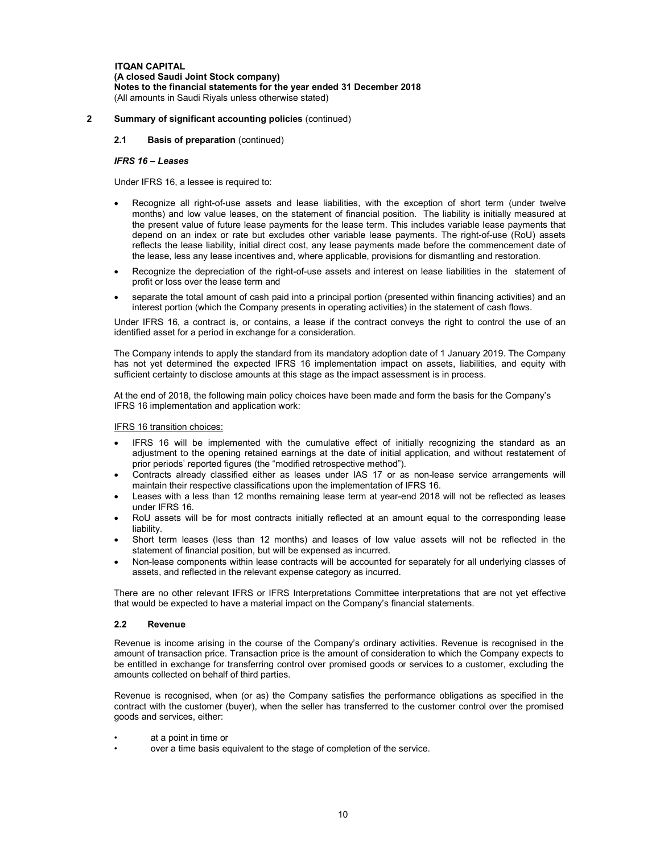# 2 Summary of significant accounting policies (continued)

#### 2.1 **Basis of preparation** (continued)

#### IFRS 16 – Leases

Under IFRS 16, a lessee is required to:

- Recognize all right-of-use assets and lease liabilities, with the exception of short term (under twelve months) and low value leases, on the statement of financial position. The liability is initially measured at the present value of future lease payments for the lease term. This includes variable lease payments that depend on an index or rate but excludes other variable lease payments. The right-of-use (RoU) assets reflects the lease liability, initial direct cost, any lease payments made before the commencement date of the lease, less any lease incentives and, where applicable, provisions for dismantling and restoration.
- Recognize the depreciation of the right-of-use assets and interest on lease liabilities in the statement of profit or loss over the lease term and
- separate the total amount of cash paid into a principal portion (presented within financing activities) and an interest portion (which the Company presents in operating activities) in the statement of cash flows.

Under IFRS 16, a contract is, or contains, a lease if the contract conveys the right to control the use of an identified asset for a period in exchange for a consideration.

The Company intends to apply the standard from its mandatory adoption date of 1 January 2019. The Company has not yet determined the expected IFRS 16 implementation impact on assets, liabilities, and equity with sufficient certainty to disclose amounts at this stage as the impact assessment is in process.

At the end of 2018, the following main policy choices have been made and form the basis for the Company's IFRS 16 implementation and application work:

IFRS 16 transition choices:

- IFRS 16 will be implemented with the cumulative effect of initially recognizing the standard as an adjustment to the opening retained earnings at the date of initial application, and without restatement of prior periods' reported figures (the "modified retrospective method").
- Contracts already classified either as leases under IAS 17 or as non-lease service arrangements will maintain their respective classifications upon the implementation of IFRS 16.
- Leases with a less than 12 months remaining lease term at year-end 2018 will not be reflected as leases under IFRS 16.
- RoU assets will be for most contracts initially reflected at an amount equal to the corresponding lease liability.
- Short term leases (less than 12 months) and leases of low value assets will not be reflected in the statement of financial position, but will be expensed as incurred.
- Non-lease components within lease contracts will be accounted for separately for all underlying classes of assets, and reflected in the relevant expense category as incurred.

 There are no other relevant IFRS or IFRS Interpretations Committee interpretations that are not yet effective that would be expected to have a material impact on the Company's financial statements.

#### 2.2 Revenue

Revenue is income arising in the course of the Company's ordinary activities. Revenue is recognised in the amount of transaction price. Transaction price is the amount of consideration to which the Company expects to be entitled in exchange for transferring control over promised goods or services to a customer, excluding the amounts collected on behalf of third parties.

Revenue is recognised, when (or as) the Company satisfies the performance obligations as specified in the contract with the customer (buyer), when the seller has transferred to the customer control over the promised goods and services, either:

- at a point in time or
- over a time basis equivalent to the stage of completion of the service.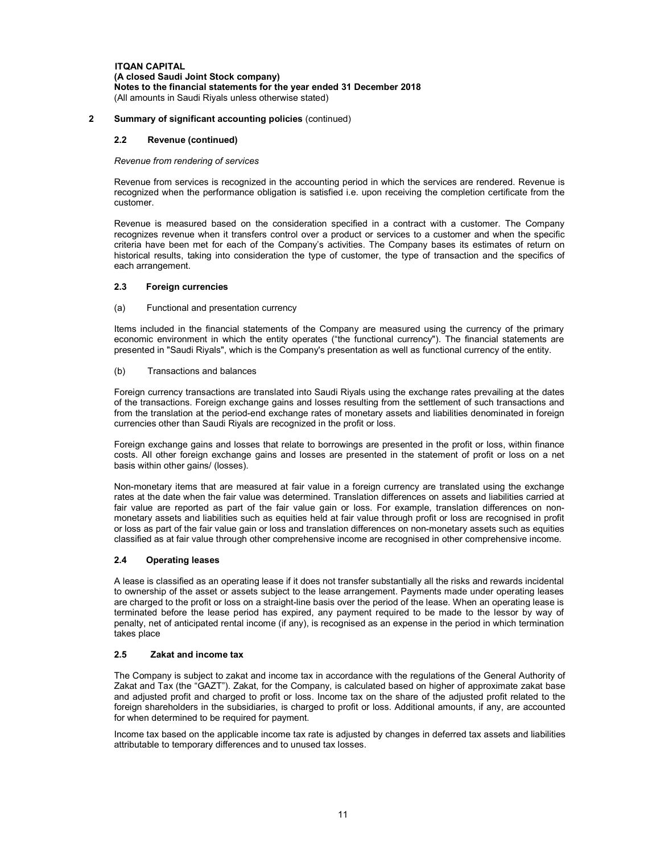# 2 Summary of significant accounting policies (continued)

# 2.2 Revenue (continued)

# Revenue from rendering of services

Revenue from services is recognized in the accounting period in which the services are rendered. Revenue is recognized when the performance obligation is satisfied i.e. upon receiving the completion certificate from the customer.

Revenue is measured based on the consideration specified in a contract with a customer. The Company recognizes revenue when it transfers control over a product or services to a customer and when the specific criteria have been met for each of the Company's activities. The Company bases its estimates of return on historical results, taking into consideration the type of customer, the type of transaction and the specifics of each arrangement.

# 2.3 Foreign currencies

# (a) Functional and presentation currency

Items included in the financial statements of the Company are measured using the currency of the primary economic environment in which the entity operates ("the functional currency"). The financial statements are presented in "Saudi Riyals", which is the Company's presentation as well as functional currency of the entity.

# (b) Transactions and balances

Foreign currency transactions are translated into Saudi Riyals using the exchange rates prevailing at the dates of the transactions. Foreign exchange gains and losses resulting from the settlement of such transactions and from the translation at the period-end exchange rates of monetary assets and liabilities denominated in foreign currencies other than Saudi Riyals are recognized in the profit or loss.

Foreign exchange gains and losses that relate to borrowings are presented in the profit or loss, within finance costs. All other foreign exchange gains and losses are presented in the statement of profit or loss on a net basis within other gains/ (losses).

Non-monetary items that are measured at fair value in a foreign currency are translated using the exchange rates at the date when the fair value was determined. Translation differences on assets and liabilities carried at fair value are reported as part of the fair value gain or loss. For example, translation differences on nonmonetary assets and liabilities such as equities held at fair value through profit or loss are recognised in profit or loss as part of the fair value gain or loss and translation differences on non-monetary assets such as equities classified as at fair value through other comprehensive income are recognised in other comprehensive income.

# 2.4 Operating leases

A lease is classified as an operating lease if it does not transfer substantially all the risks and rewards incidental to ownership of the asset or assets subject to the lease arrangement. Payments made under operating leases are charged to the profit or loss on a straight-line basis over the period of the lease. When an operating lease is terminated before the lease period has expired, any payment required to be made to the lessor by way of penalty, net of anticipated rental income (if any), is recognised as an expense in the period in which termination takes place

# 2.5 Zakat and income tax

The Company is subject to zakat and income tax in accordance with the regulations of the General Authority of Zakat and Tax (the "GAZT"). Zakat, for the Company, is calculated based on higher of approximate zakat base and adjusted profit and charged to profit or loss. Income tax on the share of the adjusted profit related to the foreign shareholders in the subsidiaries, is charged to profit or loss. Additional amounts, if any, are accounted for when determined to be required for payment.

Income tax based on the applicable income tax rate is adjusted by changes in deferred tax assets and liabilities attributable to temporary differences and to unused tax losses.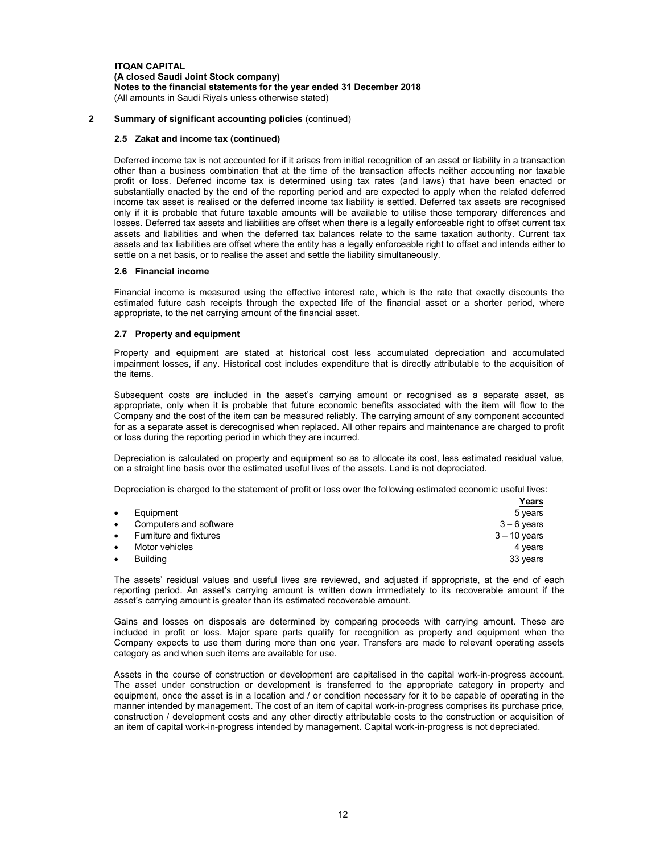# 2 Summary of significant accounting policies (continued)

# 2.5 Zakat and income tax (continued)

Deferred income tax is not accounted for if it arises from initial recognition of an asset or liability in a transaction other than a business combination that at the time of the transaction affects neither accounting nor taxable profit or loss. Deferred income tax is determined using tax rates (and laws) that have been enacted or substantially enacted by the end of the reporting period and are expected to apply when the related deferred income tax asset is realised or the deferred income tax liability is settled. Deferred tax assets are recognised only if it is probable that future taxable amounts will be available to utilise those temporary differences and losses. Deferred tax assets and liabilities are offset when there is a legally enforceable right to offset current tax assets and liabilities and when the deferred tax balances relate to the same taxation authority. Current tax assets and tax liabilities are offset where the entity has a legally enforceable right to offset and intends either to settle on a net basis, or to realise the asset and settle the liability simultaneously.

# 2.6 Financial income

Financial income is measured using the effective interest rate, which is the rate that exactly discounts the estimated future cash receipts through the expected life of the financial asset or a shorter period, where appropriate, to the net carrying amount of the financial asset.

# 2.7 Property and equipment

Property and equipment are stated at historical cost less accumulated depreciation and accumulated impairment losses, if any. Historical cost includes expenditure that is directly attributable to the acquisition of the items.

Subsequent costs are included in the asset's carrying amount or recognised as a separate asset, as appropriate, only when it is probable that future economic benefits associated with the item will flow to the Company and the cost of the item can be measured reliably. The carrying amount of any component accounted for as a separate asset is derecognised when replaced. All other repairs and maintenance are charged to profit or loss during the reporting period in which they are incurred.

Depreciation is calculated on property and equipment so as to allocate its cost, less estimated residual value, on a straight line basis over the estimated useful lives of the assets. Land is not depreciated.

Depreciation is charged to the statement of profit or loss over the following estimated economic useful lives:

|           |                               | <b>Years</b>   |
|-----------|-------------------------------|----------------|
| $\bullet$ | Equipment                     | 5 years        |
| $\bullet$ | Computers and software        | $3 - 6$ years  |
| $\bullet$ | <b>Furniture and fixtures</b> | $3 - 10$ years |
| $\bullet$ | Motor vehicles                | 4 years        |
| $\bullet$ | <b>Building</b>               | 33 years       |

The assets' residual values and useful lives are reviewed, and adjusted if appropriate, at the end of each reporting period. An asset's carrying amount is written down immediately to its recoverable amount if the asset's carrying amount is greater than its estimated recoverable amount.

Gains and losses on disposals are determined by comparing proceeds with carrying amount. These are included in profit or loss. Major spare parts qualify for recognition as property and equipment when the Company expects to use them during more than one year. Transfers are made to relevant operating assets category as and when such items are available for use.

Assets in the course of construction or development are capitalised in the capital work-in-progress account. The asset under construction or development is transferred to the appropriate category in property and equipment, once the asset is in a location and / or condition necessary for it to be capable of operating in the manner intended by management. The cost of an item of capital work-in-progress comprises its purchase price, construction / development costs and any other directly attributable costs to the construction or acquisition of an item of capital work-in-progress intended by management. Capital work-in-progress is not depreciated.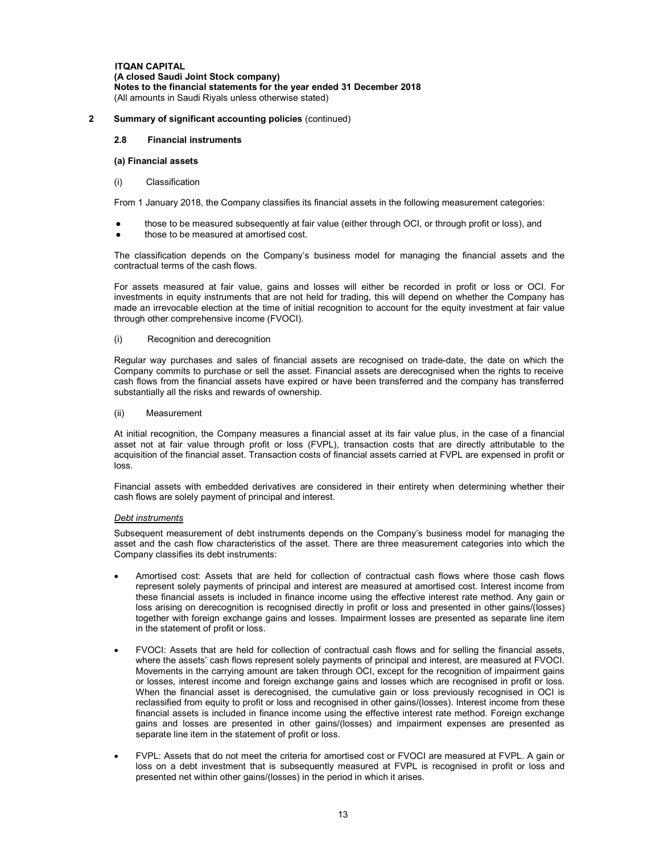# 2 Summary of significant accounting policies (continued)

#### 2.8 Financial instruments

#### (a) Financial assets

(i) Classification

From 1 January 2018, the Company classifies its financial assets in the following measurement categories:

- those to be measured subsequently at fair value (either through OCI, or through profit or loss), and
- those to be measured at amortised cost.

The classification depends on the Company's business model for managing the financial assets and the contractual terms of the cash flows.

For assets measured at fair value, gains and losses will either be recorded in profit or loss or OCI. For investments in equity instruments that are not held for trading, this will depend on whether the Company has made an irrevocable election at the time of initial recognition to account for the equity investment at fair value through other comprehensive income (FVOCI).

#### (i) Recognition and derecognition

Regular way purchases and sales of financial assets are recognised on trade-date, the date on which the Company commits to purchase or sell the asset. Financial assets are derecognised when the rights to receive cash flows from the financial assets have expired or have been transferred and the company has transferred substantially all the risks and rewards of ownership.

#### (ii) Measurement

At initial recognition, the Company measures a financial asset at its fair value plus, in the case of a financial asset not at fair value through profit or loss (FVPL), transaction costs that are directly attributable to the acquisition of the financial asset. Transaction costs of financial assets carried at FVPL are expensed in profit or loss.

Financial assets with embedded derivatives are considered in their entirety when determining whether their cash flows are solely payment of principal and interest.

# Debt instruments

Subsequent measurement of debt instruments depends on the Company's business model for managing the asset and the cash flow characteristics of the asset. There are three measurement categories into which the Company classifies its debt instruments:

- Amortised cost: Assets that are held for collection of contractual cash flows where those cash flows represent solely payments of principal and interest are measured at amortised cost. Interest income from these financial assets is included in finance income using the effective interest rate method. Any gain or loss arising on derecognition is recognised directly in profit or loss and presented in other gains/(losses) together with foreign exchange gains and losses. Impairment losses are presented as separate line item in the statement of profit or loss.
- FVOCI: Assets that are held for collection of contractual cash flows and for selling the financial assets, where the assets' cash flows represent solely payments of principal and interest, are measured at FVOCI. Movements in the carrying amount are taken through OCI, except for the recognition of impairment gains or losses, interest income and foreign exchange gains and losses which are recognised in profit or loss. When the financial asset is derecognised, the cumulative gain or loss previously recognised in OCI is reclassified from equity to profit or loss and recognised in other gains/(losses). Interest income from these financial assets is included in finance income using the effective interest rate method. Foreign exchange gains and losses are presented in other gains/(losses) and impairment expenses are presented as separate line item in the statement of profit or loss.
- FVPL: Assets that do not meet the criteria for amortised cost or FVOCI are measured at FVPL. A gain or loss on a debt investment that is subsequently measured at FVPL is recognised in profit or loss and presented net within other gains/(losses) in the period in which it arises.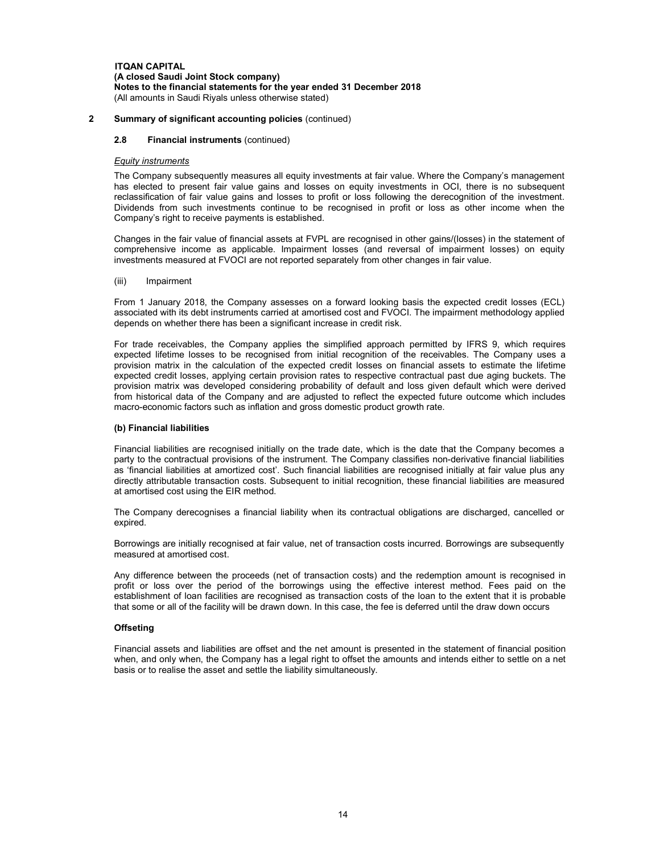# 2 Summary of significant accounting policies (continued)

#### 2.8 Financial instruments (continued)

#### **Equity instruments**

The Company subsequently measures all equity investments at fair value. Where the Company's management has elected to present fair value gains and losses on equity investments in OCI, there is no subsequent reclassification of fair value gains and losses to profit or loss following the derecognition of the investment. Dividends from such investments continue to be recognised in profit or loss as other income when the Company's right to receive payments is established.

Changes in the fair value of financial assets at FVPL are recognised in other gains/(losses) in the statement of comprehensive income as applicable. Impairment losses (and reversal of impairment losses) on equity investments measured at FVOCI are not reported separately from other changes in fair value.

#### (iii) Impairment

From 1 January 2018, the Company assesses on a forward looking basis the expected credit losses (ECL) associated with its debt instruments carried at amortised cost and FVOCI. The impairment methodology applied depends on whether there has been a significant increase in credit risk.

For trade receivables, the Company applies the simplified approach permitted by IFRS 9, which requires expected lifetime losses to be recognised from initial recognition of the receivables. The Company uses a provision matrix in the calculation of the expected credit losses on financial assets to estimate the lifetime expected credit losses, applying certain provision rates to respective contractual past due aging buckets. The provision matrix was developed considering probability of default and loss given default which were derived from historical data of the Company and are adjusted to reflect the expected future outcome which includes macro-economic factors such as inflation and gross domestic product growth rate.

# (b) Financial liabilities

Financial liabilities are recognised initially on the trade date, which is the date that the Company becomes a party to the contractual provisions of the instrument. The Company classifies non-derivative financial liabilities as 'financial liabilities at amortized cost'. Such financial liabilities are recognised initially at fair value plus any directly attributable transaction costs. Subsequent to initial recognition, these financial liabilities are measured at amortised cost using the EIR method.

The Company derecognises a financial liability when its contractual obligations are discharged, cancelled or expired.

Borrowings are initially recognised at fair value, net of transaction costs incurred. Borrowings are subsequently measured at amortised cost.

Any difference between the proceeds (net of transaction costs) and the redemption amount is recognised in profit or loss over the period of the borrowings using the effective interest method. Fees paid on the establishment of loan facilities are recognised as transaction costs of the loan to the extent that it is probable that some or all of the facility will be drawn down. In this case, the fee is deferred until the draw down occurs

# **Offseting**

Financial assets and liabilities are offset and the net amount is presented in the statement of financial position when, and only when, the Company has a legal right to offset the amounts and intends either to settle on a net basis or to realise the asset and settle the liability simultaneously.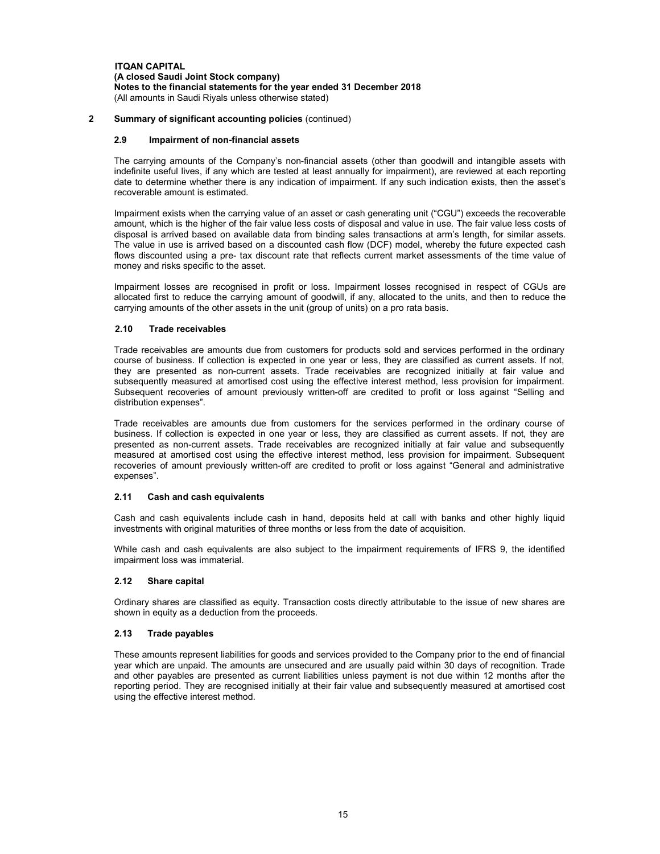# 2 Summary of significant accounting policies (continued)

# 2.9 Impairment of non-financial assets

The carrying amounts of the Company's non-financial assets (other than goodwill and intangible assets with indefinite useful lives, if any which are tested at least annually for impairment), are reviewed at each reporting date to determine whether there is any indication of impairment. If any such indication exists, then the asset's recoverable amount is estimated.

Impairment exists when the carrying value of an asset or cash generating unit ("CGU") exceeds the recoverable amount, which is the higher of the fair value less costs of disposal and value in use. The fair value less costs of disposal is arrived based on available data from binding sales transactions at arm's length, for similar assets. The value in use is arrived based on a discounted cash flow (DCF) model, whereby the future expected cash flows discounted using a pre- tax discount rate that reflects current market assessments of the time value of money and risks specific to the asset.

Impairment losses are recognised in profit or loss. Impairment losses recognised in respect of CGUs are allocated first to reduce the carrying amount of goodwill, if any, allocated to the units, and then to reduce the carrying amounts of the other assets in the unit (group of units) on a pro rata basis.

# 2.10 Trade receivables

Trade receivables are amounts due from customers for products sold and services performed in the ordinary course of business. If collection is expected in one year or less, they are classified as current assets. If not, they are presented as non-current assets. Trade receivables are recognized initially at fair value and subsequently measured at amortised cost using the effective interest method, less provision for impairment. Subsequent recoveries of amount previously written-off are credited to profit or loss against "Selling and distribution expenses".

Trade receivables are amounts due from customers for the services performed in the ordinary course of business. If collection is expected in one year or less, they are classified as current assets. If not, they are presented as non-current assets. Trade receivables are recognized initially at fair value and subsequently measured at amortised cost using the effective interest method, less provision for impairment. Subsequent recoveries of amount previously written-off are credited to profit or loss against "General and administrative expenses".

# 2.11 Cash and cash equivalents

Cash and cash equivalents include cash in hand, deposits held at call with banks and other highly liquid investments with original maturities of three months or less from the date of acquisition.

While cash and cash equivalents are also subject to the impairment requirements of IFRS 9, the identified impairment loss was immaterial.

# 2.12 Share capital

Ordinary shares are classified as equity. Transaction costs directly attributable to the issue of new shares are shown in equity as a deduction from the proceeds.

# 2.13 Trade payables

These amounts represent liabilities for goods and services provided to the Company prior to the end of financial year which are unpaid. The amounts are unsecured and are usually paid within 30 days of recognition. Trade and other payables are presented as current liabilities unless payment is not due within 12 months after the reporting period. They are recognised initially at their fair value and subsequently measured at amortised cost using the effective interest method.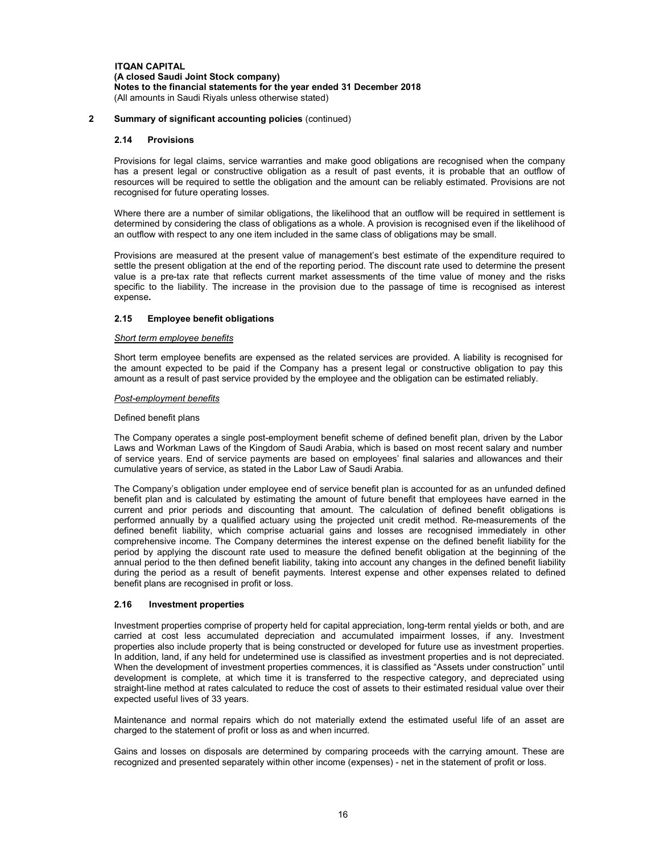# 2 Summary of significant accounting policies (continued)

# 2.14 Provisions

Provisions for legal claims, service warranties and make good obligations are recognised when the company has a present legal or constructive obligation as a result of past events, it is probable that an outflow of resources will be required to settle the obligation and the amount can be reliably estimated. Provisions are not recognised for future operating losses.

Where there are a number of similar obligations, the likelihood that an outflow will be required in settlement is determined by considering the class of obligations as a whole. A provision is recognised even if the likelihood of an outflow with respect to any one item included in the same class of obligations may be small.

Provisions are measured at the present value of management's best estimate of the expenditure required to settle the present obligation at the end of the reporting period. The discount rate used to determine the present value is a pre-tax rate that reflects current market assessments of the time value of money and the risks specific to the liability. The increase in the provision due to the passage of time is recognised as interest expense.

# 2.15 Employee benefit obligations

#### Short term employee benefits

Short term employee benefits are expensed as the related services are provided. A liability is recognised for the amount expected to be paid if the Company has a present legal or constructive obligation to pay this amount as a result of past service provided by the employee and the obligation can be estimated reliably.

#### Post-employment benefits

#### Defined benefit plans

The Company operates a single post-employment benefit scheme of defined benefit plan, driven by the Labor Laws and Workman Laws of the Kingdom of Saudi Arabia, which is based on most recent salary and number of service years. End of service payments are based on employees' final salaries and allowances and their cumulative years of service, as stated in the Labor Law of Saudi Arabia.

The Company's obligation under employee end of service benefit plan is accounted for as an unfunded defined benefit plan and is calculated by estimating the amount of future benefit that employees have earned in the current and prior periods and discounting that amount. The calculation of defined benefit obligations is performed annually by a qualified actuary using the projected unit credit method. Re-measurements of the defined benefit liability, which comprise actuarial gains and losses are recognised immediately in other comprehensive income. The Company determines the interest expense on the defined benefit liability for the period by applying the discount rate used to measure the defined benefit obligation at the beginning of the annual period to the then defined benefit liability, taking into account any changes in the defined benefit liability during the period as a result of benefit payments. Interest expense and other expenses related to defined benefit plans are recognised in profit or loss.

# 2.16 Investment properties

Investment properties comprise of property held for capital appreciation, long-term rental yields or both, and are carried at cost less accumulated depreciation and accumulated impairment losses, if any. Investment properties also include property that is being constructed or developed for future use as investment properties. In addition, land, if any held for undetermined use is classified as investment properties and is not depreciated. When the development of investment properties commences, it is classified as "Assets under construction" until development is complete, at which time it is transferred to the respective category, and depreciated using straight-line method at rates calculated to reduce the cost of assets to their estimated residual value over their expected useful lives of 33 years.

Maintenance and normal repairs which do not materially extend the estimated useful life of an asset are charged to the statement of profit or loss as and when incurred.

Gains and losses on disposals are determined by comparing proceeds with the carrying amount. These are recognized and presented separately within other income (expenses) - net in the statement of profit or loss.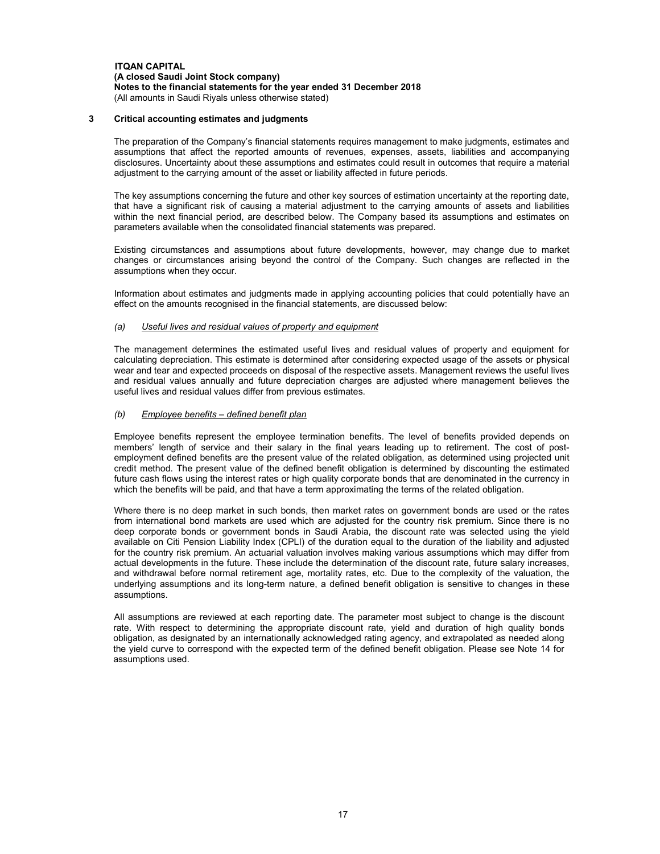# 3 Critical accounting estimates and judgments

The preparation of the Company's financial statements requires management to make judgments, estimates and assumptions that affect the reported amounts of revenues, expenses, assets, liabilities and accompanying disclosures. Uncertainty about these assumptions and estimates could result in outcomes that require a material adjustment to the carrying amount of the asset or liability affected in future periods.

The key assumptions concerning the future and other key sources of estimation uncertainty at the reporting date, that have a significant risk of causing a material adjustment to the carrying amounts of assets and liabilities within the next financial period, are described below. The Company based its assumptions and estimates on parameters available when the consolidated financial statements was prepared.

Existing circumstances and assumptions about future developments, however, may change due to market changes or circumstances arising beyond the control of the Company. Such changes are reflected in the assumptions when they occur.

Information about estimates and judgments made in applying accounting policies that could potentially have an effect on the amounts recognised in the financial statements, are discussed below:

#### (a) Useful lives and residual values of property and equipment

The management determines the estimated useful lives and residual values of property and equipment for calculating depreciation. This estimate is determined after considering expected usage of the assets or physical wear and tear and expected proceeds on disposal of the respective assets. Management reviews the useful lives and residual values annually and future depreciation charges are adjusted where management believes the useful lives and residual values differ from previous estimates.

#### (b) Employee benefits – defined benefit plan

Employee benefits represent the employee termination benefits. The level of benefits provided depends on members' length of service and their salary in the final years leading up to retirement. The cost of postemployment defined benefits are the present value of the related obligation, as determined using projected unit credit method. The present value of the defined benefit obligation is determined by discounting the estimated future cash flows using the interest rates or high quality corporate bonds that are denominated in the currency in which the benefits will be paid, and that have a term approximating the terms of the related obligation.

Where there is no deep market in such bonds, then market rates on government bonds are used or the rates from international bond markets are used which are adjusted for the country risk premium. Since there is no deep corporate bonds or government bonds in Saudi Arabia, the discount rate was selected using the yield available on Citi Pension Liability Index (CPLI) of the duration equal to the duration of the liability and adjusted for the country risk premium. An actuarial valuation involves making various assumptions which may differ from actual developments in the future. These include the determination of the discount rate, future salary increases, and withdrawal before normal retirement age, mortality rates, etc. Due to the complexity of the valuation, the underlying assumptions and its long-term nature, a defined benefit obligation is sensitive to changes in these assumptions.

All assumptions are reviewed at each reporting date. The parameter most subject to change is the discount rate. With respect to determining the appropriate discount rate, yield and duration of high quality bonds obligation, as designated by an internationally acknowledged rating agency, and extrapolated as needed along the yield curve to correspond with the expected term of the defined benefit obligation. Please see Note 14 for assumptions used.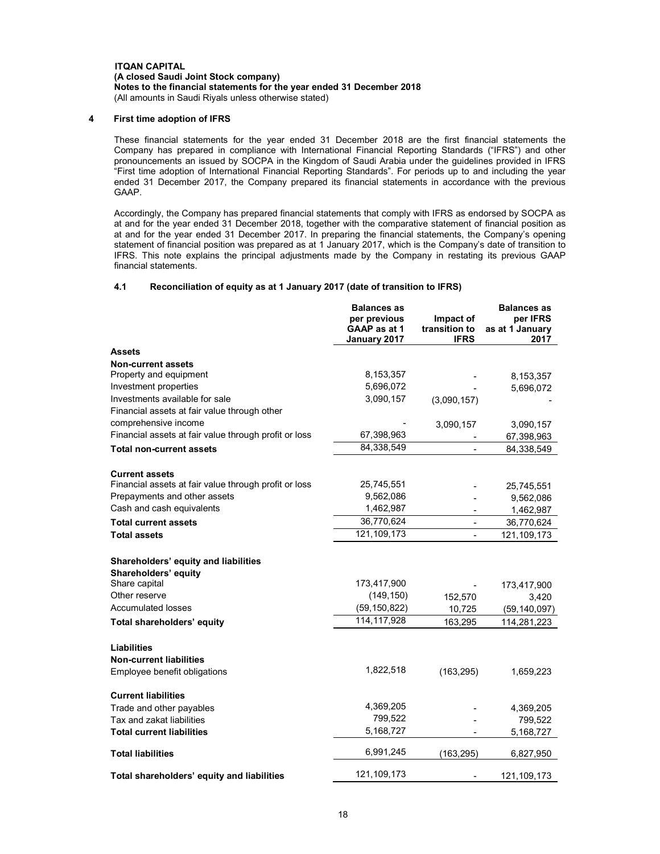# 4 First time adoption of IFRS

These financial statements for the year ended 31 December 2018 are the first financial statements the Company has prepared in compliance with International Financial Reporting Standards ("IFRS") and other pronouncements an issued by SOCPA in the Kingdom of Saudi Arabia under the guidelines provided in IFRS "First time adoption of International Financial Reporting Standards". For periods up to and including the year ended 31 December 2017, the Company prepared its financial statements in accordance with the previous GAAP.

Accordingly, the Company has prepared financial statements that comply with IFRS as endorsed by SOCPA as at and for the year ended 31 December 2018, together with the comparative statement of financial position as at and for the year ended 31 December 2017. In preparing the financial statements, the Company's opening statement of financial position was prepared as at 1 January 2017, which is the Company's date of transition to IFRS. This note explains the principal adjustments made by the Company in restating its previous GAAP financial statements.

#### 4.1 Reconciliation of equity as at 1 January 2017 (date of transition to IFRS)

|                                                              | <b>Balances as</b><br>per previous<br>GAAP as at 1 | Impact of<br>transition to | <b>Balances as</b><br>per IFRS<br>as at 1 January |
|--------------------------------------------------------------|----------------------------------------------------|----------------------------|---------------------------------------------------|
|                                                              | January 2017                                       | <b>IFRS</b>                | 2017                                              |
| <b>Assets</b>                                                |                                                    |                            |                                                   |
| <b>Non-current assets</b>                                    |                                                    |                            |                                                   |
| Property and equipment                                       | 8,153,357                                          |                            | 8,153,357                                         |
| Investment properties                                        | 5,696,072                                          |                            | 5,696,072                                         |
| Investments available for sale                               | 3,090,157                                          | (3,090,157)                |                                                   |
| Financial assets at fair value through other                 |                                                    |                            |                                                   |
| comprehensive income                                         |                                                    | 3,090,157                  | 3,090,157                                         |
| Financial assets at fair value through profit or loss        | 67,398,963                                         |                            | 67,398,963                                        |
| <b>Total non-current assets</b>                              | 84,338,549                                         |                            | 84,338,549                                        |
| <b>Current assets</b>                                        |                                                    |                            |                                                   |
| Financial assets at fair value through profit or loss        | 25,745,551                                         |                            | 25,745,551                                        |
| Prepayments and other assets                                 | 9,562,086                                          |                            | 9,562,086                                         |
| Cash and cash equivalents                                    | 1,462,987                                          |                            | 1,462,987                                         |
| <b>Total current assets</b>                                  | 36,770,624                                         | $\overline{\phantom{0}}$   | 36,770,624                                        |
| <b>Total assets</b>                                          | 121, 109, 173                                      |                            | 121,109,173                                       |
|                                                              |                                                    |                            |                                                   |
| Shareholders' equity and liabilities<br>Shareholders' equity |                                                    |                            |                                                   |
| Share capital                                                | 173,417,900                                        |                            | 173,417,900                                       |
| Other reserve                                                | (149, 150)                                         | 152,570                    | 3,420                                             |
| <b>Accumulated losses</b>                                    | (59, 150, 822)                                     | 10,725                     | (59, 140, 097)                                    |
| Total shareholders' equity                                   | 114, 117, 928                                      | 163,295                    | 114,281,223                                       |
|                                                              |                                                    |                            |                                                   |
| Liabilities                                                  |                                                    |                            |                                                   |
| <b>Non-current liabilities</b>                               |                                                    |                            |                                                   |
| Employee benefit obligations                                 | 1,822,518                                          | (163, 295)                 | 1,659,223                                         |
| <b>Current liabilities</b>                                   |                                                    |                            |                                                   |
| Trade and other payables                                     | 4,369,205                                          |                            | 4,369,205                                         |
| Tax and zakat liabilities                                    | 799,522                                            |                            | 799,522                                           |
| <b>Total current liabilities</b>                             | 5,168,727                                          |                            | 5,168,727                                         |
| <b>Total liabilities</b>                                     | 6,991,245                                          | (163, 295)                 | 6,827,950                                         |
| Total shareholders' equity and liabilities                   | 121, 109, 173                                      |                            | 121,109,173                                       |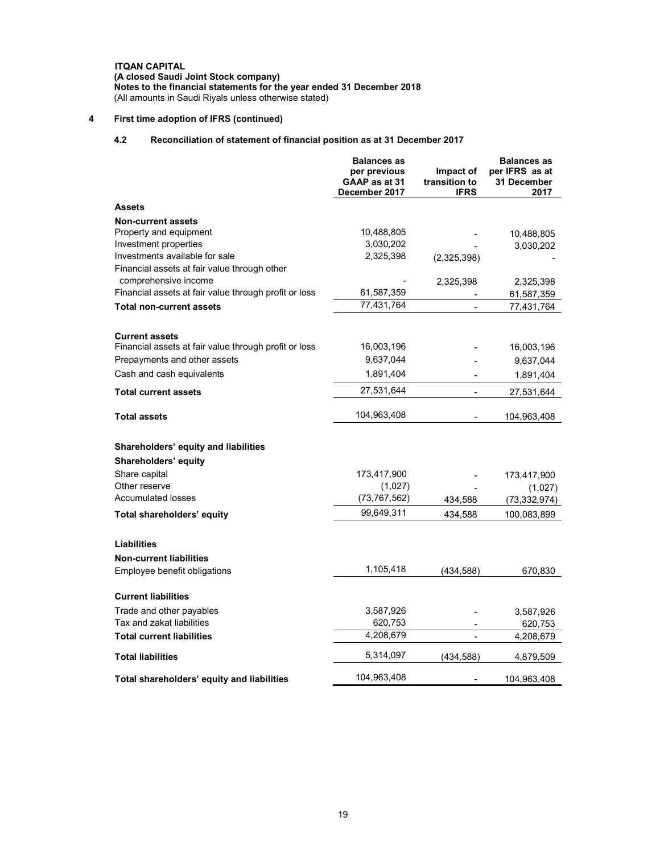# 4 First time adoption of IFRS (continued)

# 4.2 Reconciliation of statement of financial position as at 31 December 2017

|                                                       | <b>Balances as</b><br>per previous<br>GAAP as at 31<br>December 2017 | Impact of<br>transition to<br><b>IFRS</b> | <b>Balances as</b><br>per IFRS as at<br>31 December<br>2017 |
|-------------------------------------------------------|----------------------------------------------------------------------|-------------------------------------------|-------------------------------------------------------------|
| <b>Assets</b>                                         |                                                                      |                                           |                                                             |
| <b>Non-current assets</b>                             |                                                                      |                                           |                                                             |
| Property and equipment                                | 10,488,805                                                           |                                           | 10,488,805                                                  |
| Investment properties                                 | 3,030,202                                                            |                                           | 3,030,202                                                   |
| Investments available for sale                        | 2,325,398                                                            | (2,325,398)                               |                                                             |
| Financial assets at fair value through other          |                                                                      |                                           |                                                             |
| comprehensive income                                  |                                                                      | 2,325,398                                 | 2,325,398                                                   |
| Financial assets at fair value through profit or loss | 61,587,359                                                           |                                           | 61,587,359                                                  |
| <b>Total non-current assets</b>                       | 77,431,764                                                           | ÷,                                        | 77,431,764                                                  |
| <b>Current assets</b>                                 |                                                                      |                                           |                                                             |
| Financial assets at fair value through profit or loss | 16,003,196                                                           |                                           | 16,003,196                                                  |
| Prepayments and other assets                          | 9,637,044                                                            |                                           | 9,637,044                                                   |
| Cash and cash equivalents                             | 1,891,404                                                            |                                           | 1,891,404                                                   |
| <b>Total current assets</b>                           | 27,531,644                                                           |                                           | 27,531,644                                                  |
| <b>Total assets</b>                                   | 104,963,408                                                          |                                           | 104,963,408                                                 |
|                                                       |                                                                      |                                           |                                                             |
| Shareholders' equity and liabilities                  |                                                                      |                                           |                                                             |
| Shareholders' equity                                  |                                                                      |                                           |                                                             |
| Share capital                                         | 173,417,900                                                          |                                           | 173,417,900                                                 |
| Other reserve                                         | (1,027)                                                              |                                           | (1,027)                                                     |
| <b>Accumulated losses</b>                             | (73, 767, 562)                                                       | 434,588                                   | (73, 332, 974)                                              |
| Total shareholders' equity                            | 99,649,311                                                           | 434,588                                   | 100,083,899                                                 |
| <b>Liabilities</b>                                    |                                                                      |                                           |                                                             |
| <b>Non-current liabilities</b>                        |                                                                      |                                           |                                                             |
| Employee benefit obligations                          | 1,105,418                                                            | (434, 588)                                | 670,830                                                     |
| <b>Current liabilities</b>                            |                                                                      |                                           |                                                             |
|                                                       |                                                                      |                                           |                                                             |
| Trade and other payables                              | 3,587,926                                                            |                                           | 3,587,926                                                   |
| Tax and zakat liabilities                             | 620,753                                                              |                                           | 620,753                                                     |
| <b>Total current liabilities</b>                      | 4,208,679                                                            |                                           | 4,208,679                                                   |
| <b>Total liabilities</b>                              | 5,314,097                                                            | (434,588)                                 | 4,879,509                                                   |
| Total shareholders' equity and liabilities            | 104,963,408                                                          |                                           | 104,963,408                                                 |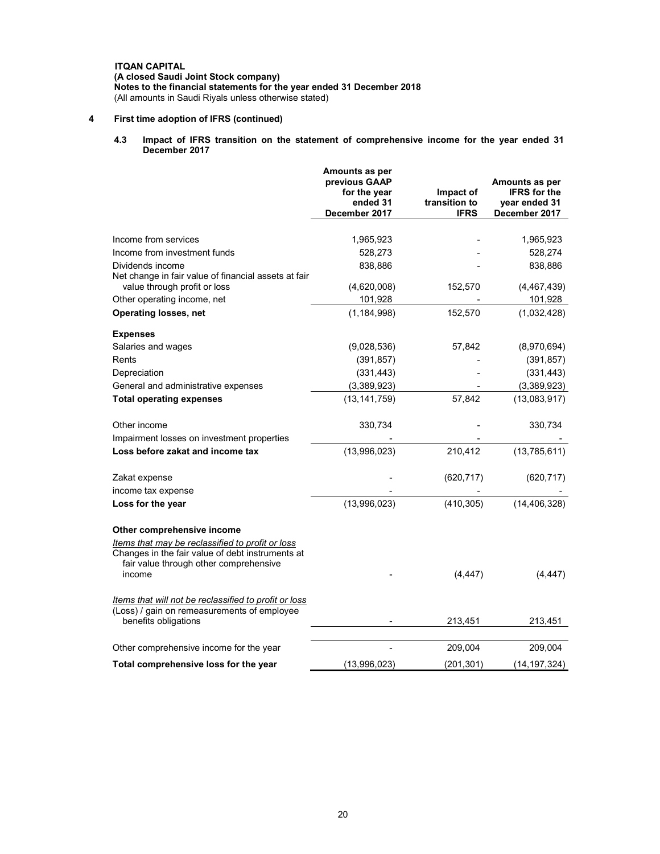# 4 First time adoption of IFRS (continued)

4.3 Impact of IFRS transition on the statement of comprehensive income for the year ended 31 December 2017

|                                                                                                                                                | <b>Amounts as per</b><br>previous GAAP<br>for the year<br>ended 31<br>December 2017 | Impact of<br>transition to<br><b>IFRS</b> | Amounts as per<br><b>IFRS</b> for the<br>year ended 31<br>December 2017 |
|------------------------------------------------------------------------------------------------------------------------------------------------|-------------------------------------------------------------------------------------|-------------------------------------------|-------------------------------------------------------------------------|
|                                                                                                                                                |                                                                                     |                                           |                                                                         |
| Income from services                                                                                                                           | 1,965,923                                                                           |                                           | 1,965,923                                                               |
| Income from investment funds                                                                                                                   | 528,273                                                                             |                                           | 528,274                                                                 |
| Dividends income                                                                                                                               | 838,886                                                                             |                                           | 838,886                                                                 |
| Net change in fair value of financial assets at fair                                                                                           |                                                                                     |                                           |                                                                         |
| value through profit or loss                                                                                                                   | (4,620,008)                                                                         | 152,570                                   | (4, 467, 439)                                                           |
| Other operating income, net                                                                                                                    | 101,928                                                                             |                                           | 101,928                                                                 |
| <b>Operating losses, net</b>                                                                                                                   | (1, 184, 998)                                                                       | 152,570                                   | (1,032,428)                                                             |
| <b>Expenses</b>                                                                                                                                |                                                                                     |                                           |                                                                         |
| Salaries and wages                                                                                                                             | (9,028,536)                                                                         | 57,842                                    | (8,970,694)                                                             |
| Rents                                                                                                                                          | (391, 857)                                                                          |                                           | (391, 857)                                                              |
| Depreciation                                                                                                                                   | (331, 443)                                                                          |                                           | (331, 443)                                                              |
| General and administrative expenses                                                                                                            | (3,389,923)                                                                         |                                           | (3,389,923)                                                             |
| <b>Total operating expenses</b>                                                                                                                | (13, 141, 759)                                                                      | 57,842                                    | (13,083,917)                                                            |
| Other income                                                                                                                                   | 330,734                                                                             |                                           | 330,734                                                                 |
| Impairment losses on investment properties                                                                                                     |                                                                                     |                                           |                                                                         |
| Loss before zakat and income tax                                                                                                               | (13,996,023)                                                                        | 210,412                                   | (13, 785, 611)                                                          |
| Zakat expense                                                                                                                                  |                                                                                     | (620, 717)                                | (620, 717)                                                              |
| income tax expense                                                                                                                             |                                                                                     |                                           |                                                                         |
| Loss for the year                                                                                                                              | (13,996,023)                                                                        | (410, 305)                                | (14, 406, 328)                                                          |
| Other comprehensive income                                                                                                                     |                                                                                     |                                           |                                                                         |
| Items that may be reclassified to profit or loss<br>Changes in the fair value of debt instruments at<br>fair value through other comprehensive |                                                                                     |                                           |                                                                         |
| income                                                                                                                                         |                                                                                     | (4, 447)                                  | (4, 447)                                                                |
| Items that will not be reclassified to profit or loss<br>(Loss) / gain on remeasurements of employee                                           |                                                                                     |                                           |                                                                         |
| benefits obligations                                                                                                                           |                                                                                     | 213,451                                   | 213,451                                                                 |
| Other comprehensive income for the year                                                                                                        |                                                                                     | 209,004                                   | 209,004                                                                 |
| Total comprehensive loss for the year                                                                                                          | (13,996,023)                                                                        | (201, 301)                                | (14, 197, 324)                                                          |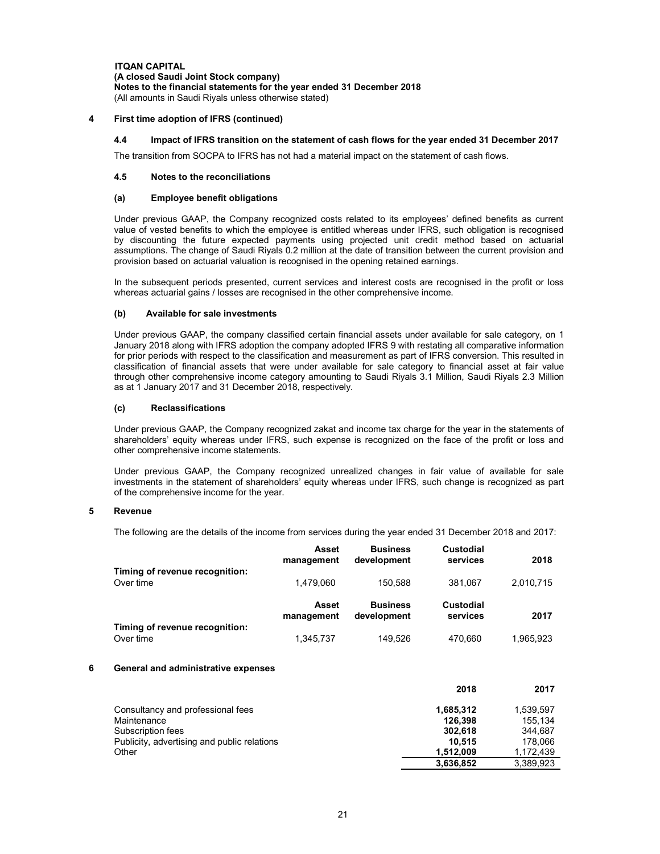# 4 First time adoption of IFRS (continued)

# 4.4 Impact of IFRS transition on the statement of cash flows for the year ended 31 December 2017

The transition from SOCPA to IFRS has not had a material impact on the statement of cash flows.

#### 4.5 Notes to the reconciliations

# (a) Employee benefit obligations

Under previous GAAP, the Company recognized costs related to its employees' defined benefits as current value of vested benefits to which the employee is entitled whereas under IFRS, such obligation is recognised by discounting the future expected payments using projected unit credit method based on actuarial assumptions. The change of Saudi Riyals 0.2 million at the date of transition between the current provision and provision based on actuarial valuation is recognised in the opening retained earnings.

In the subsequent periods presented, current services and interest costs are recognised in the profit or loss whereas actuarial gains / losses are recognised in the other comprehensive income.

# (b) Available for sale investments

Under previous GAAP, the company classified certain financial assets under available for sale category, on 1 January 2018 along with IFRS adoption the company adopted IFRS 9 with restating all comparative information for prior periods with respect to the classification and measurement as part of IFRS conversion. This resulted in classification of financial assets that were under available for sale category to financial asset at fair value through other comprehensive income category amounting to Saudi Riyals 3.1 Million, Saudi Riyals 2.3 Million as at 1 January 2017 and 31 December 2018, respectively.

# (c) Reclassifications

Under previous GAAP, the Company recognized zakat and income tax charge for the year in the statements of shareholders' equity whereas under IFRS, such expense is recognized on the face of the profit or loss and other comprehensive income statements.

Under previous GAAP, the Company recognized unrealized changes in fair value of available for sale investments in the statement of shareholders' equity whereas under IFRS, such change is recognized as part of the comprehensive income for the year.

# 5 Revenue

The following are the details of the income from services during the year ended 31 December 2018 and 2017:

|                                             | <b>Asset</b><br>management | <b>Business</b><br>development | Custodial<br>services | 2018      |
|---------------------------------------------|----------------------------|--------------------------------|-----------------------|-----------|
| Timing of revenue recognition:<br>Over time | 1.479.060                  | 150.588                        | 381.067               | 2.010.715 |
|                                             | <b>Asset</b><br>management | <b>Business</b><br>development | Custodial<br>services | 2017      |
| Timing of revenue recognition:<br>Over time | 1,345,737                  | 149.526                        | 470.660               | 1,965,923 |

#### 6 General and administrative expenses

|                                             | 2018      | 2017      |
|---------------------------------------------|-----------|-----------|
| Consultancy and professional fees           | 1,685,312 | 1.539.597 |
| Maintenance                                 | 126.398   | 155.134   |
| Subscription fees                           | 302.618   | 344.687   |
| Publicity, advertising and public relations | 10.515    | 178.066   |
| Other                                       | 1,512,009 | 1,172,439 |
|                                             | 3,636,852 | 3,389,923 |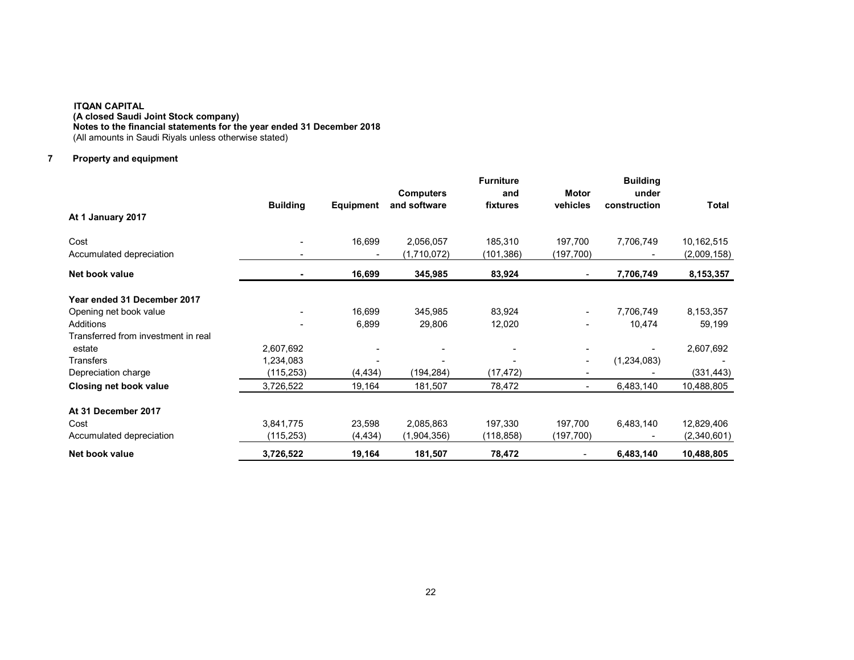# 7 Property and equipment

| At 1 January 2017                   | <b>Building</b>          | <b>Equipment</b> | <b>Computers</b><br>and software | <b>Furniture</b><br>and<br>fixtures | <b>Motor</b><br>vehicles | <b>Building</b><br>under<br>construction | <b>Total</b> |
|-------------------------------------|--------------------------|------------------|----------------------------------|-------------------------------------|--------------------------|------------------------------------------|--------------|
| Cost                                |                          | 16,699           | 2,056,057                        | 185,310                             | 197,700                  | 7,706,749                                | 10,162,515   |
| Accumulated depreciation            | $\overline{\phantom{0}}$ |                  | (1,710,072)                      | (101,386)                           | (197,700)                |                                          | (2,009,158)  |
| Net book value                      | ۰.                       | 16,699           | 345,985                          | 83,924                              | ٠                        | 7,706,749                                | 8,153,357    |
| Year ended 31 December 2017         |                          |                  |                                  |                                     |                          |                                          |              |
| Opening net book value              |                          | 16,699           | 345,985                          | 83,924                              | ۰.                       | 7,706,749                                | 8,153,357    |
| Additions                           |                          | 6,899            | 29,806                           | 12,020                              |                          | 10,474                                   | 59,199       |
| Transferred from investment in real |                          |                  |                                  |                                     |                          |                                          |              |
| estate                              | 2,607,692                |                  |                                  |                                     | ٠                        |                                          | 2,607,692    |
| Transfers                           | 1,234,083                |                  |                                  |                                     | ۰.                       | (1, 234, 083)                            |              |
| Depreciation charge                 | (115,253)                | (4, 434)         | (194, 284)                       | (17,472)                            | $\overline{\phantom{0}}$ |                                          | (331, 443)   |
| Closing net book value              | 3,726,522                | 19,164           | 181,507                          | 78,472                              | $\blacksquare$           | 6,483,140                                | 10,488,805   |
| At 31 December 2017                 |                          |                  |                                  |                                     |                          |                                          |              |
| Cost                                | 3,841,775                | 23,598           | 2,085,863                        | 197,330                             | 197,700                  | 6,483,140                                | 12,829,406   |
| Accumulated depreciation            | (115,253)                | (4, 434)         | (1,904,356)                      | (118,858)                           | (197,700)                |                                          | (2,340,601)  |
| Net book value                      | 3,726,522                | 19,164           | 181,507                          | 78,472                              | ۰.                       | 6,483,140                                | 10,488,805   |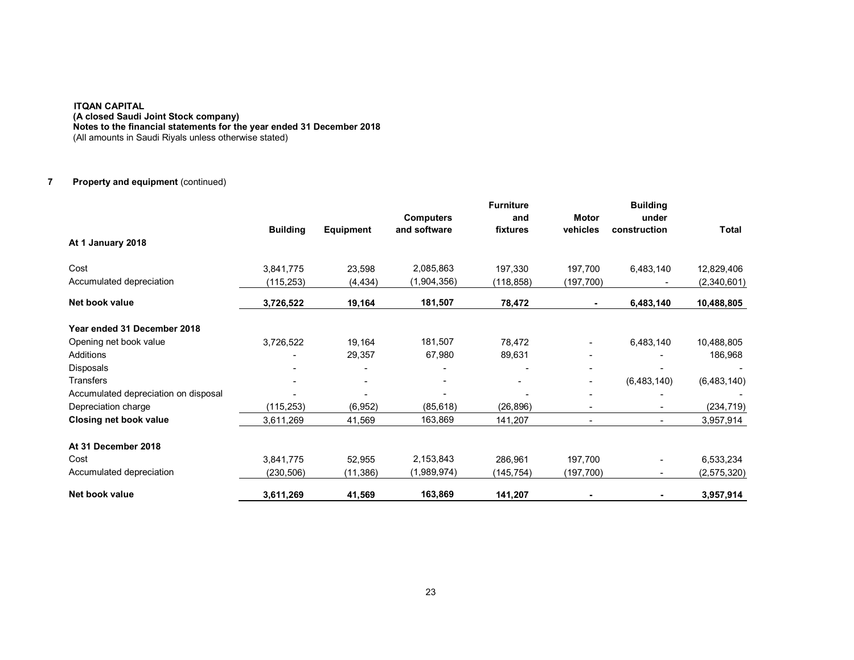# 7 Property and equipment (continued)

|                                      |                 |                  | <b>Computers</b> | <b>Furniture</b><br>and | <b>Motor</b>             | <b>Building</b><br>under |             |
|--------------------------------------|-----------------|------------------|------------------|-------------------------|--------------------------|--------------------------|-------------|
| At 1 January 2018                    | <b>Building</b> | <b>Equipment</b> | and software     | fixtures                | vehicles                 | construction             | Total       |
| Cost                                 | 3,841,775       | 23,598           | 2,085,863        | 197,330                 | 197,700                  | 6,483,140                | 12,829,406  |
| Accumulated depreciation             | (115, 253)      | (4, 434)         | (1,904,356)      | (118, 858)              | (197, 700)               |                          | (2,340,601) |
| Net book value                       | 3,726,522       | 19,164           | 181,507          | 78,472                  | $\blacksquare$           | 6,483,140                | 10,488,805  |
| Year ended 31 December 2018          |                 |                  |                  |                         |                          |                          |             |
| Opening net book value               | 3,726,522       | 19,164           | 181,507          | 78,472                  |                          | 6,483,140                | 10,488,805  |
| Additions                            |                 | 29,357           | 67,980           | 89,631                  |                          |                          | 186,968     |
| <b>Disposals</b>                     |                 |                  |                  |                         |                          |                          |             |
| Transfers                            |                 |                  |                  |                         | $\overline{\phantom{a}}$ | (6,483,140)              | (6,483,140) |
| Accumulated depreciation on disposal |                 |                  |                  |                         |                          |                          |             |
| Depreciation charge                  | (115, 253)      | (6,952)          | (85, 618)        | (26, 896)               | ٠                        | $\overline{\phantom{a}}$ | (234, 719)  |
| Closing net book value               | 3,611,269       | 41,569           | 163,869          | 141,207                 | $\blacksquare$           | ٠                        | 3,957,914   |
| At 31 December 2018                  |                 |                  |                  |                         |                          |                          |             |
| Cost                                 | 3,841,775       | 52,955           | 2,153,843        | 286,961                 | 197,700                  | $\blacksquare$           | 6,533,234   |
| Accumulated depreciation             | (230, 506)      | (11, 386)        | (1,989,974)      | (145, 754)              | (197, 700)               | $\blacksquare$           | (2,575,320) |
| Net book value                       | 3,611,269       | 41,569           | 163,869          | 141,207                 |                          |                          | 3,957,914   |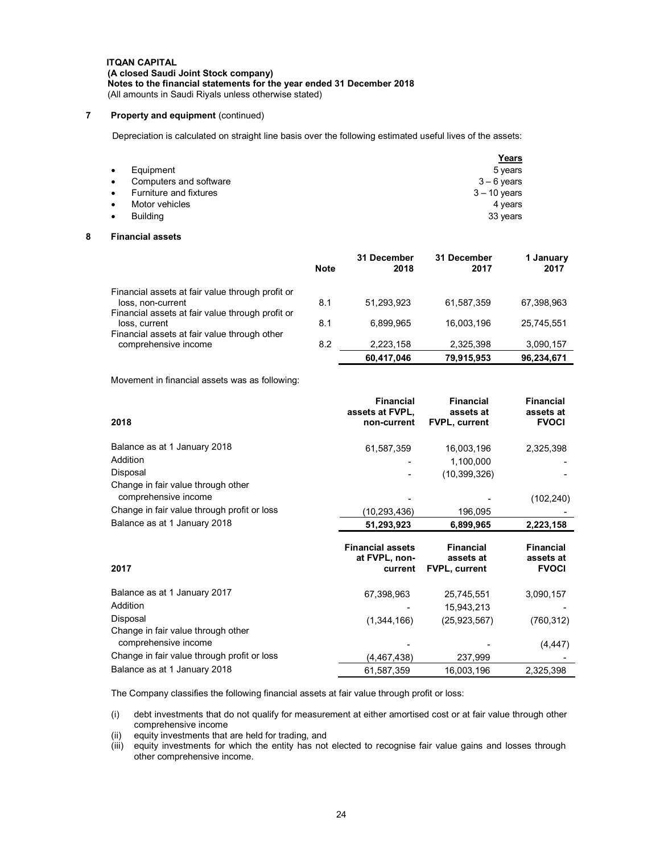# 7 Property and equipment (continued)

Depreciation is calculated on straight line basis over the following estimated useful lives of the assets:

|           |                               | <u>Years</u>   |
|-----------|-------------------------------|----------------|
| $\bullet$ | Equipment                     | 5 years        |
| $\bullet$ | Computers and software        | $3 - 6$ years  |
| $\bullet$ | <b>Furniture and fixtures</b> | $3 - 10$ years |
| $\bullet$ | Motor vehicles                | 4 years        |
| $\bullet$ | <b>Building</b>               | 33 years       |

# 8 Financial assets

|                                                  | <b>Note</b> | 31 December<br>2018 | 31 December<br>2017 | 1 January<br>2017 |
|--------------------------------------------------|-------------|---------------------|---------------------|-------------------|
| Financial assets at fair value through profit or |             |                     |                     |                   |
| loss, non-current                                | 8.1         | 51.293.923          | 61,587,359          | 67,398,963        |
| Financial assets at fair value through profit or |             |                     |                     |                   |
| loss, current                                    | 8.1         | 6.899.965           | 16.003.196          | 25.745.551        |
| Financial assets at fair value through other     |             |                     |                     |                   |
| comprehensive income                             | 8.2         | 2,223,158           | 2,325,398           | 3,090,157         |
|                                                  |             | 60,417,046          | 79,915,953          | 96,234,671        |

Movement in financial assets was as following:

| 2018                                                       | <b>Financial</b><br>assets at FVPL,<br>non-current | <b>Financial</b><br>assets at<br><b>FVPL, current</b> | <b>Financial</b><br>assets at<br><b>FVOCI</b> |
|------------------------------------------------------------|----------------------------------------------------|-------------------------------------------------------|-----------------------------------------------|
| Balance as at 1 January 2018                               | 61,587,359                                         | 16,003,196                                            | 2,325,398                                     |
| Addition                                                   |                                                    | 1,100,000                                             |                                               |
| Disposal                                                   |                                                    | (10, 399, 326)                                        |                                               |
| Change in fair value through other<br>comprehensive income |                                                    |                                                       | (102, 240)                                    |
| Change in fair value through profit or loss                | (10,293,436)                                       | 196,095                                               |                                               |
| Balance as at 1 January 2018                               | 51,293,923                                         | 6,899,965                                             | 2,223,158                                     |
|                                                            | <b>Financial assets</b>                            | <b>Financial</b>                                      | <b>Financial</b>                              |
| 2017                                                       | at FVPL, non-<br>current                           | assets at<br><b>FVPL, current</b>                     | assets at<br><b>FVOCI</b>                     |
| Balance as at 1 January 2017                               | 67,398,963                                         | 25,745,551                                            | 3,090,157                                     |
| Addition                                                   |                                                    | 15,943,213                                            |                                               |
| Disposal                                                   | (1,344,166)                                        | (25, 923, 567)                                        | (760, 312)                                    |
| Change in fair value through other<br>comprehensive income |                                                    |                                                       | (4, 447)                                      |
| Change in fair value through profit or loss                | (4,467,438)                                        | 237,999                                               |                                               |

The Company classifies the following financial assets at fair value through profit or loss:

(i) debt investments that do not qualify for measurement at either amortised cost or at fair value through other comprehensive income

(ii) equity investments that are held for trading, and

(iii) equity investments for which the entity has not elected to recognise fair value gains and losses through other comprehensive income.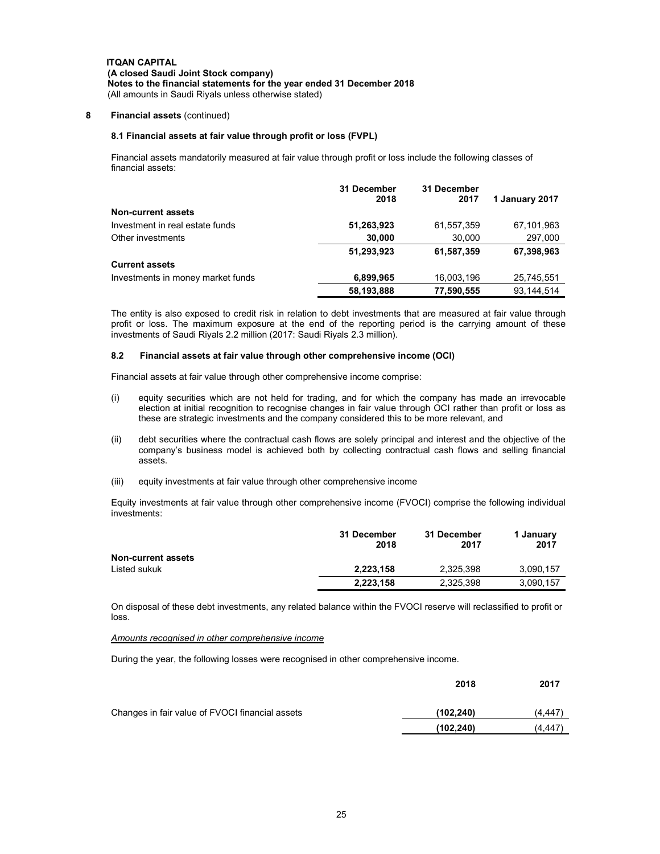# 8 Financial assets (continued)

#### 8.1 Financial assets at fair value through profit or loss (FVPL)

Financial assets mandatorily measured at fair value through profit or loss include the following classes of financial assets:

|                                   | 31 December<br>2018 | 31 December<br>2017 | 1 January 2017 |
|-----------------------------------|---------------------|---------------------|----------------|
| <b>Non-current assets</b>         |                     |                     |                |
| Investment in real estate funds   | 51,263,923          | 61,557,359          | 67,101,963     |
| Other investments                 | 30,000              | 30.000              | 297,000        |
|                                   | 51,293,923          | 61,587,359          | 67,398,963     |
| <b>Current assets</b>             |                     |                     |                |
| Investments in money market funds | 6,899,965           | 16,003,196          | 25,745,551     |
|                                   | 58,193,888          | 77,590,555          | 93.144.514     |

The entity is also exposed to credit risk in relation to debt investments that are measured at fair value through profit or loss. The maximum exposure at the end of the reporting period is the carrying amount of these investments of Saudi Riyals 2.2 million (2017: Saudi Riyals 2.3 million).

#### 8.2 Financial assets at fair value through other comprehensive income (OCI)

Financial assets at fair value through other comprehensive income comprise:

- (i) equity securities which are not held for trading, and for which the company has made an irrevocable election at initial recognition to recognise changes in fair value through OCI rather than profit or loss as these are strategic investments and the company considered this to be more relevant, and
- (ii) debt securities where the contractual cash flows are solely principal and interest and the objective of the company's business model is achieved both by collecting contractual cash flows and selling financial assets.
- (iii) equity investments at fair value through other comprehensive income

Equity investments at fair value through other comprehensive income (FVOCI) comprise the following individual investments:

|                           | 31 December<br>2018 | 31 December<br>2017 | 1 January<br>2017 |
|---------------------------|---------------------|---------------------|-------------------|
| <b>Non-current assets</b> |                     |                     |                   |
| Listed sukuk              | 2.223.158           | 2.325.398           | 3,090,157         |
|                           | 2,223,158           | 2,325,398           | 3,090,157         |

On disposal of these debt investments, any related balance within the FVOCI reserve will reclassified to profit or loss.

#### Amounts recognised in other comprehensive income

During the year, the following losses were recognised in other comprehensive income.

|                                                 | 2018      | 2017    |
|-------------------------------------------------|-----------|---------|
| Changes in fair value of FVOCI financial assets | (102.240) | (4.447) |
|                                                 | (102,240) | (4.447) |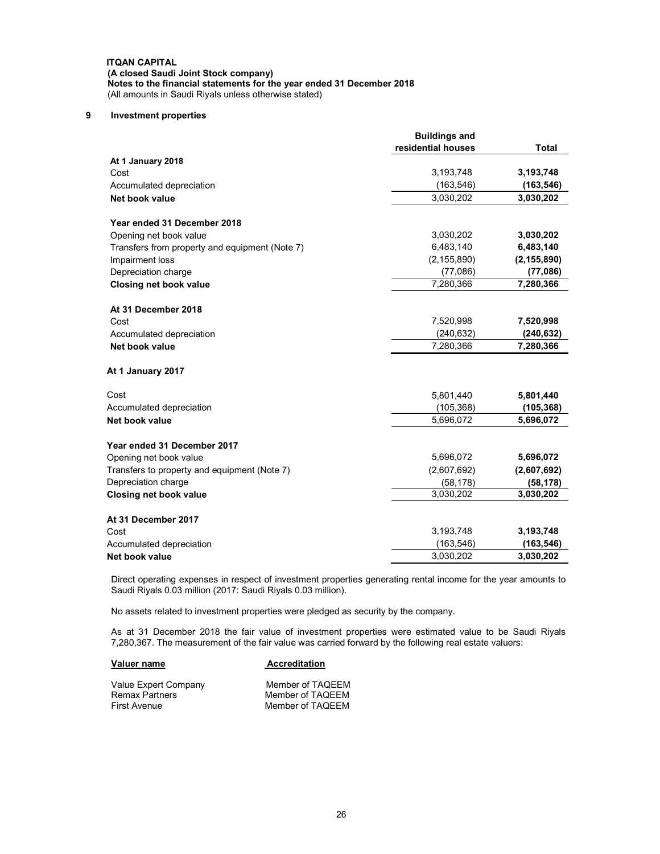# 9 Investment properties

|                                                | <b>Buildings and</b> |               |
|------------------------------------------------|----------------------|---------------|
|                                                | residential houses   | <b>Total</b>  |
| At 1 January 2018                              |                      |               |
| Cost                                           | 3,193,748            | 3,193,748     |
| Accumulated depreciation                       | (163, 546)           | (163, 546)    |
| Net book value                                 | 3,030,202            | 3,030,202     |
| Year ended 31 December 2018                    |                      |               |
| Opening net book value                         | 3,030,202            | 3,030,202     |
| Transfers from property and equipment (Note 7) | 6,483,140            | 6,483,140     |
| Impairment loss                                | (2, 155, 890)        | (2, 155, 890) |
| Depreciation charge                            | (77,086)             | (77,086)      |
| <b>Closing net book value</b>                  | 7,280,366            | 7,280,366     |
| At 31 December 2018                            |                      |               |
| Cost                                           | 7,520,998            | 7,520,998     |
| Accumulated depreciation                       | (240, 632)           | (240, 632)    |
| Net book value                                 | 7,280,366            | 7,280,366     |
| At 1 January 2017                              |                      |               |
| Cost                                           | 5,801,440            | 5,801,440     |
| Accumulated depreciation                       | (105, 368)           | (105, 368)    |
| Net book value                                 | 5,696,072            | 5,696,072     |
| Year ended 31 December 2017                    |                      |               |
| Opening net book value                         | 5,696,072            | 5,696,072     |
| Transfers to property and equipment (Note 7)   | (2,607,692)          | (2,607,692)   |
| Depreciation charge                            | (58, 178)            | (58, 178)     |
| <b>Closing net book value</b>                  | 3,030,202            | 3,030,202     |
| At 31 December 2017                            |                      |               |
| Cost                                           | 3,193,748            | 3,193,748     |
| Accumulated depreciation                       | (163, 546)           | (163, 546)    |
| Net book value                                 | 3,030,202            | 3,030,202     |

Direct operating expenses in respect of investment properties generating rental income for the year amounts to Saudi Riyals 0.03 million (2017: Saudi Riyals 0.03 million).

No assets related to investment properties were pledged as security by the company.

As at 31 December 2018 the fair value of investment properties were estimated value to be Saudi Riyals 7,280,367. The measurement of the fair value was carried forward by the following real estate valuers:

# Valuer name **Accreditation** Value Expert Company Member of TAQEEM<br>
Remax Partners **COMPANY** Member of TAQEEM Member of TAQEEM First Avenue Member of TAQEEM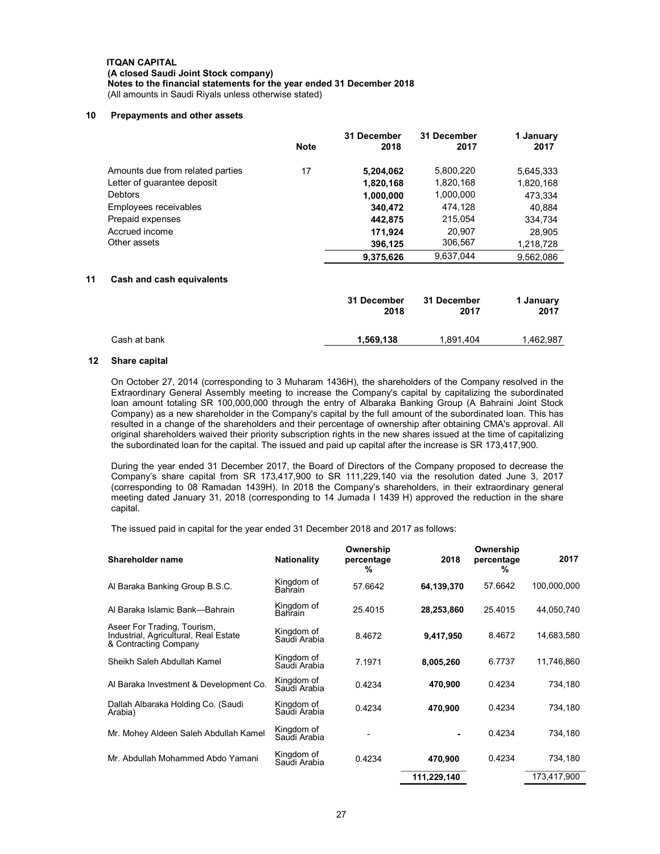# 10 Prepayments and other assets

|                                  | <b>Note</b> | 31 December<br>2018 | 31 December<br>2017 | 1 January<br>2017 |
|----------------------------------|-------------|---------------------|---------------------|-------------------|
| Amounts due from related parties | 17          | 5,204,062           | 5,800,220           | 5,645,333         |
| Letter of quarantee deposit      |             | 1,820,168           | 1,820,168           | 1,820,168         |
| <b>Debtors</b>                   |             | 1,000,000           | 1,000,000           | 473,334           |
| Employees receivables            |             | 340,472             | 474,128             | 40,884            |
| Prepaid expenses                 |             | 442,875             | 215,054             | 334,734           |
| Accrued income                   |             | 171,924             | 20,907              | 28,905            |
| Other assets                     |             | 396,125             | 306,567             | 1,218,728         |
|                                  |             | 9,375,626           | 9,637,044           | 9.562.086         |

#### 11 Cash and cash equivalents

|              | 31 December | 31 December | 1 January |  |
|--------------|-------------|-------------|-----------|--|
|              | 2018        | 2017        | 2017      |  |
| Cash at bank | 1.569.138   | 1,891,404   | 1.462.987 |  |

# 12 Share capital

On October 27, 2014 (corresponding to 3 Muharam 1436H), the shareholders of the Company resolved in the Extraordinary General Assembly meeting to increase the Company's capital by capitalizing the subordinated loan amount totaling SR 100,000,000 through the entry of Albaraka Banking Group (A Bahraini Joint Stock Company) as a new shareholder in the Company's capital by the full amount of the subordinated loan. This has resulted in a change of the shareholders and their percentage of ownership after obtaining CMA's approval. All original shareholders waived their priority subscription rights in the new shares issued at the time of capitalizing the subordinated loan for the capital. The issued and paid up capital after the increase is SR 173,417,900.

During the year ended 31 December 2017, the Board of Directors of the Company proposed to decrease the Company's share capital from SR 173,417,900 to SR 111,229,140 via the resolution dated June 3, 2017 (corresponding to 08 Ramadan 1439H). In 2018 the Company's shareholders, in their extraordinary general meeting dated January 31, 2018 (corresponding to 14 Jumada I 1439 H) approved the reduction in the share capital.

The issued paid in capital for the year ended 31 December 2018 and 2017 as follows:

| Shareholder name                                                                              | <b>Nationality</b>           | Ownership<br>percentage<br>% | 2018        | Ownership<br>percentage<br>% | 2017        |
|-----------------------------------------------------------------------------------------------|------------------------------|------------------------------|-------------|------------------------------|-------------|
| Al Baraka Banking Group B.S.C.                                                                | Kingdom of<br><b>Bahrain</b> | 57.6642                      | 64,139,370  | 57.6642                      | 100,000,000 |
| Al Baraka Islamic Bank-Bahrain                                                                | Kingdom of<br><b>Bahrain</b> | 25.4015                      | 28,253,860  | 25.4015                      | 44,050,740  |
| Aseer For Trading, Tourism,<br>Industrial, Agricultural, Real Estate<br>& Contracting Company | Kingdom of<br>Saudi Arabia   | 8.4672                       | 9,417,950   | 8.4672                       | 14,683,580  |
| Sheikh Saleh Abdullah Kamel                                                                   | Kingdom of<br>Saudi Arabia   | 7.1971                       | 8,005,260   | 6.7737                       | 11,746,860  |
| Al Baraka Investment & Development Co.                                                        | Kingdom of<br>Saudi Arabia   | 0.4234                       | 470,900     | 0.4234                       | 734,180     |
| Dallah Albaraka Holding Co. (Saudi<br>Arabia)                                                 | Kingdom of<br>Saudi Arabia   | 0.4234                       | 470,900     | 0.4234                       | 734,180     |
| Mr. Mohey Aldeen Saleh Abdullah Kamel                                                         | Kingdom of<br>Saudi Arabia   |                              |             | 0.4234                       | 734,180     |
| Mr. Abdullah Mohammed Abdo Yamani                                                             | Kingdom of<br>Saudi Arabia   | 0.4234                       | 470,900     | 0.4234                       | 734,180     |
|                                                                                               |                              |                              | 111,229,140 |                              | 173,417,900 |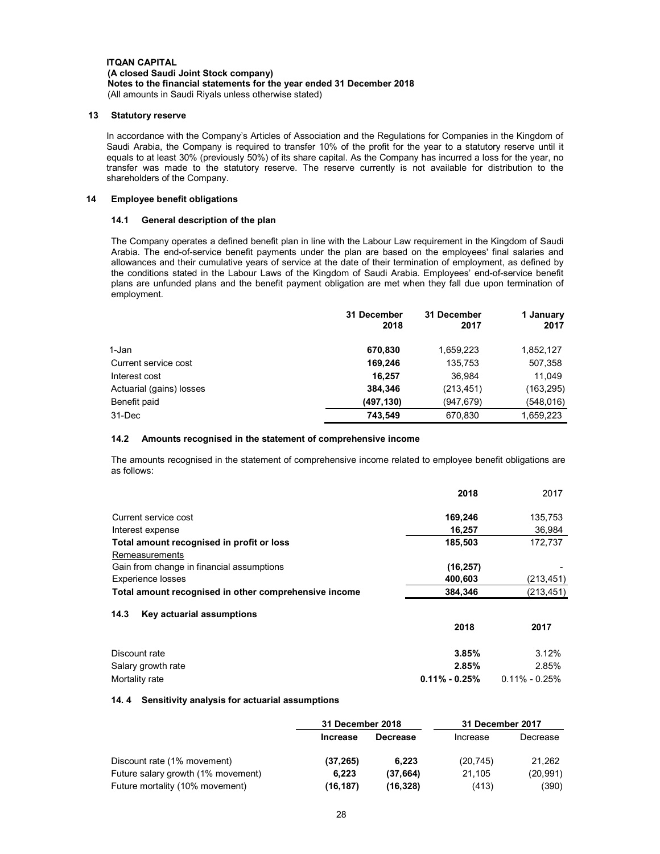#### 13 Statutory reserve

In accordance with the Company's Articles of Association and the Regulations for Companies in the Kingdom of Saudi Arabia, the Company is required to transfer 10% of the profit for the year to a statutory reserve until it equals to at least 30% (previously 50%) of its share capital. As the Company has incurred a loss for the year, no transfer was made to the statutory reserve. The reserve currently is not available for distribution to the shareholders of the Company.

# 14 Employee benefit obligations

# 14.1 General description of the plan

The Company operates a defined benefit plan in line with the Labour Law requirement in the Kingdom of Saudi Arabia. The end-of-service benefit payments under the plan are based on the employees' final salaries and allowances and their cumulative years of service at the date of their termination of employment, as defined by the conditions stated in the Labour Laws of the Kingdom of Saudi Arabia. Employees' end-of-service benefit plans are unfunded plans and the benefit payment obligation are met when they fall due upon termination of employment.

|                          | 31 December<br>2018 | 31 December<br>2017 | 1 January<br>2017 |
|--------------------------|---------------------|---------------------|-------------------|
| 1-Jan                    | 670,830             | 1,659,223           | 1,852,127         |
| Current service cost     | 169,246             | 135,753             | 507,358           |
| Interest cost            | 16.257              | 36,984              | 11.049            |
| Actuarial (gains) losses | 384,346             | (213, 451)          | (163, 295)        |
| Benefit paid             | (497,130)           | (947, 679)          | (548, 016)        |
| 31-Dec                   | 743.549             | 670,830             | 1.659.223         |

# 14.2 Amounts recognised in the statement of comprehensive income

The amounts recognised in the statement of comprehensive income related to employee benefit obligations are as follows:

|                                                       | 2018              | 2017              |
|-------------------------------------------------------|-------------------|-------------------|
| Current service cost                                  | 169,246           | 135,753           |
| Interest expense                                      | 16,257            | 36,984            |
| Total amount recognised in profit or loss             | 185,503           | 172,737           |
| Remeasurements                                        |                   |                   |
| Gain from change in financial assumptions             | (16, 257)         |                   |
| Experience losses                                     | 400,603           | (213,451)         |
| Total amount recognised in other comprehensive income | 384,346           | (213,451)         |
| Key actuarial assumptions<br>14.3                     |                   |                   |
|                                                       | 2018              | 2017              |
| Discount rate                                         | 3.85%             | 3.12%             |
| Salary growth rate                                    | 2.85%             | 2.85%             |
| Mortality rate                                        | $0.11\% - 0.25\%$ | $0.11\% - 0.25\%$ |

#### 14. 4 Sensitivity analysis for actuarial assumptions

|                                    | 31 December 2018 |           | 31 December 2017 |           |
|------------------------------------|------------------|-----------|------------------|-----------|
|                                    | <b>Increase</b>  | Decrease  | Increase         | Decrease  |
| Discount rate (1% movement)        | (37, 265)        | 6.223     | (20, 745)        | 21.262    |
| Future salary growth (1% movement) | 6.223            | (37, 664) | 21.105           | (20, 991) |
| Future mortality (10% movement)    | (16, 187)        | (16, 328) | (413)            | (390)     |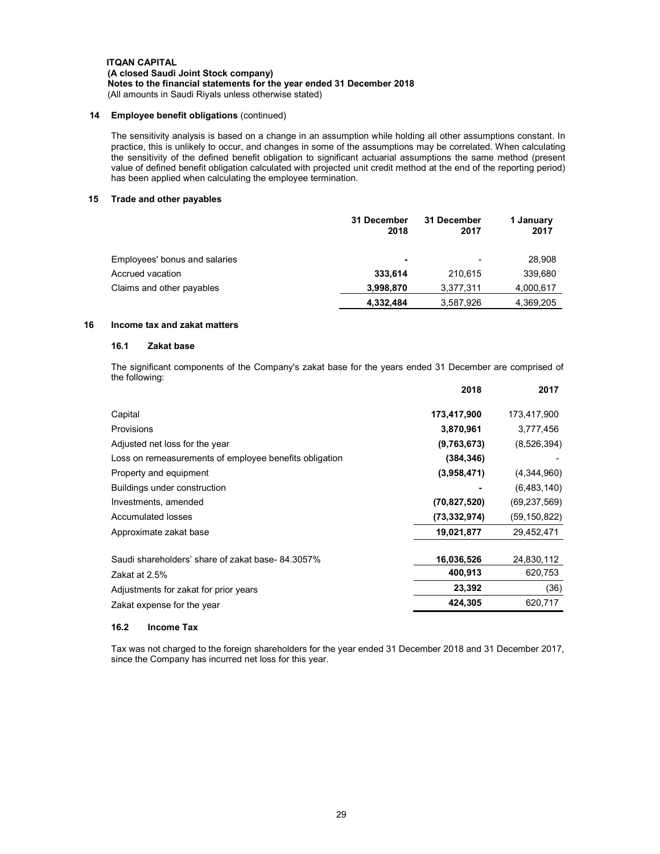# 14 Employee benefit obligations (continued)

The sensitivity analysis is based on a change in an assumption while holding all other assumptions constant. In practice, this is unlikely to occur, and changes in some of the assumptions may be correlated. When calculating the sensitivity of the defined benefit obligation to significant actuarial assumptions the same method (present value of defined benefit obligation calculated with projected unit credit method at the end of the reporting period) has been applied when calculating the employee termination.

# 15 Trade and other payables

|                               | 31 December<br>2018 | 31 December<br>2017 | 1 January<br>2017 |
|-------------------------------|---------------------|---------------------|-------------------|
| Employees' bonus and salaries | $\blacksquare$      | ۰                   | 28,908            |
| Accrued vacation              | 333.614             | 210.615             | 339,680           |
| Claims and other payables     | 3.998.870           | 3,377,311           | 4,000,617         |
|                               | 4,332,484           | 3,587,926           | 4,369,205         |

# 16 Income tax and zakat matters

#### 16.1 Zakat base

The significant components of the Company's zakat base for the years ended 31 December are comprised of the following:

|                                                        | 2018           | 2017           |
|--------------------------------------------------------|----------------|----------------|
| Capital                                                | 173,417,900    | 173,417,900    |
| Provisions                                             | 3,870,961      | 3,777,456      |
| Adjusted net loss for the year                         | (9,763,673)    | (8,526,394)    |
| Loss on remeasurements of employee benefits obligation | (384,346)      |                |
| Property and equipment                                 | (3,958,471)    | (4,344,960)    |
| Buildings under construction                           |                | (6,483,140)    |
| Investments, amended                                   | (70, 827, 520) | (69, 237, 569) |
| Accumulated losses                                     | (73, 332, 974) | (59,150,822)   |
| Approximate zakat base                                 | 19,021,877     | 29,452,471     |
| Saudi shareholders' share of zakat base-84.3057%       | 16,036,526     | 24,830,112     |
| Zakat at 2.5%                                          | 400,913        | 620,753        |
| Adjustments for zakat for prior years                  | 23,392         | (36)           |
| Zakat expense for the year                             | 424,305        | 620,717        |

#### 16.2 Income Tax

Tax was not charged to the foreign shareholders for the year ended 31 December 2018 and 31 December 2017, since the Company has incurred net loss for this year.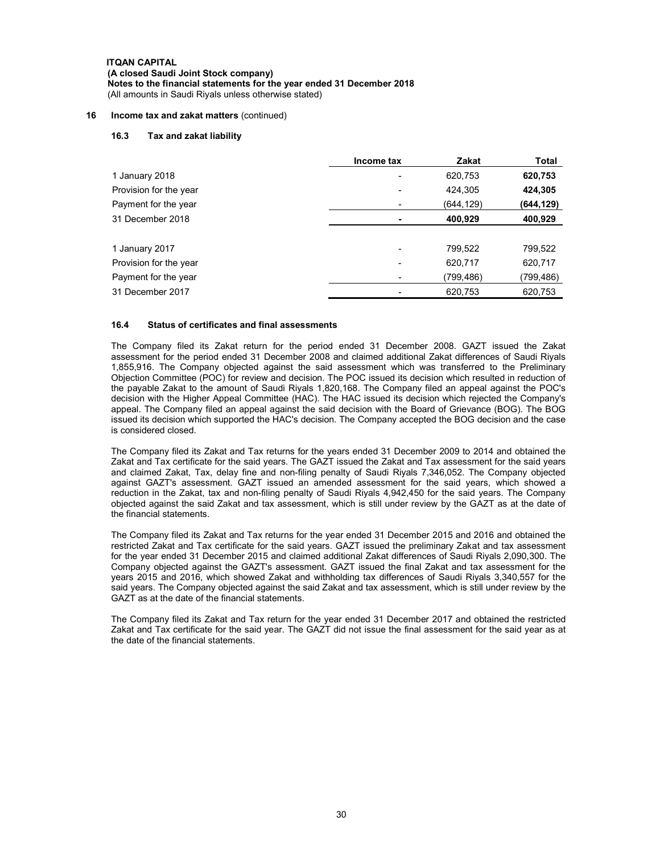# 16 Income tax and zakat matters (continued)

# 16.3 Tax and zakat liability

| 620,753    |
|------------|
| 424,305    |
| (644, 129) |
| 400,929    |
|            |
| 799,522    |
| 620,717    |
| (799,486)  |
| 620,753    |
|            |

# 16.4 Status of certificates and final assessments

The Company filed its Zakat return for the period ended 31 December 2008. GAZT issued the Zakat assessment for the period ended 31 December 2008 and claimed additional Zakat differences of Saudi Riyals 1,855,916. The Company objected against the said assessment which was transferred to the Preliminary Objection Committee (POC) for review and decision. The POC issued its decision which resulted in reduction of the payable Zakat to the amount of Saudi Riyals 1,820,168. The Company filed an appeal against the POC's decision with the Higher Appeal Committee (HAC). The HAC issued its decision which rejected the Company's appeal. The Company filed an appeal against the said decision with the Board of Grievance (BOG). The BOG issued its decision which supported the HAC's decision. The Company accepted the BOG decision and the case is considered closed.

The Company filed its Zakat and Tax returns for the years ended 31 December 2009 to 2014 and obtained the Zakat and Tax certificate for the said years. The GAZT issued the Zakat and Tax assessment for the said years and claimed Zakat, Tax, delay fine and non-filing penalty of Saudi Riyals 7,346,052. The Company objected against GAZT's assessment. GAZT issued an amended assessment for the said years, which showed a reduction in the Zakat, tax and non-filing penalty of Saudi Riyals 4,942,450 for the said years. The Company objected against the said Zakat and tax assessment, which is still under review by the GAZT as at the date of the financial statements.

The Company filed its Zakat and Tax returns for the year ended 31 December 2015 and 2016 and obtained the restricted Zakat and Tax certificate for the said years. GAZT issued the preliminary Zakat and tax assessment for the year ended 31 December 2015 and claimed additional Zakat differences of Saudi Riyals 2,090,300. The Company objected against the GAZT's assessment. GAZT issued the final Zakat and tax assessment for the years 2015 and 2016, which showed Zakat and withholding tax differences of Saudi Riyals 3,340,557 for the said years. The Company objected against the said Zakat and tax assessment, which is still under review by the GAZT as at the date of the financial statements.

The Company filed its Zakat and Tax return for the year ended 31 December 2017 and obtained the restricted Zakat and Tax certificate for the said year. The GAZT did not issue the final assessment for the said year as at the date of the financial statements.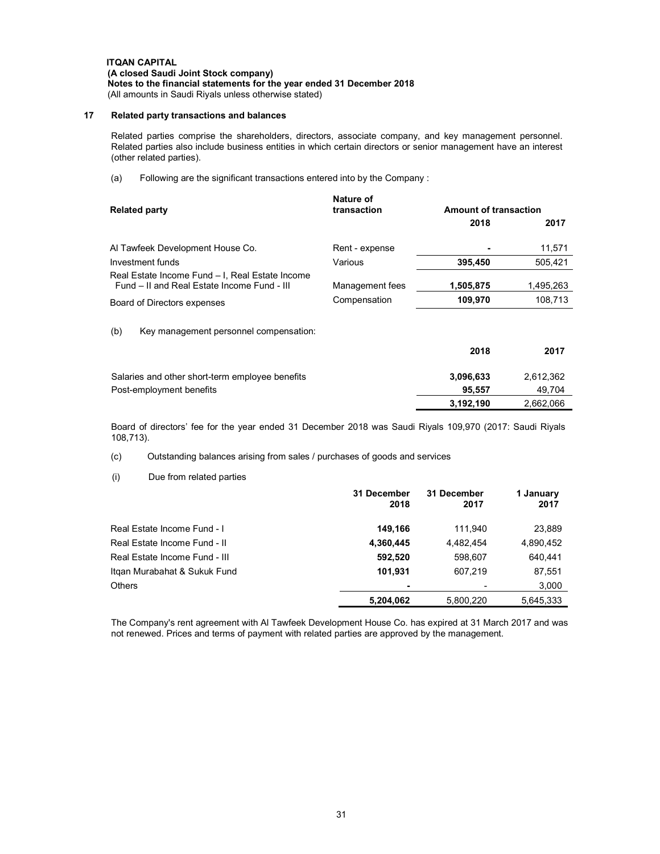# 17 Related party transactions and balances

Related parties comprise the shareholders, directors, associate company, and key management personnel. Related parties also include business entities in which certain directors or senior management have an interest (other related parties).

(a) Following are the significant transactions entered into by the Company :

| <b>Related party</b>                                                                           | Nature of<br>transaction | <b>Amount of transaction</b> |           |
|------------------------------------------------------------------------------------------------|--------------------------|------------------------------|-----------|
|                                                                                                |                          | 2018                         | 2017      |
| Al Tawfeek Development House Co.                                                               | Rent - expense           |                              | 11,571    |
| Investment funds                                                                               | Various                  | 395,450                      | 505,421   |
| Real Estate Income Fund - I, Real Estate Income<br>Fund - II and Real Estate Income Fund - III | Management fees          | 1,505,875                    | 1,495,263 |
| Board of Directors expenses                                                                    | Compensation             | 109,970                      | 108,713   |
| (b)<br>Key management personnel compensation:                                                  |                          |                              |           |
|                                                                                                |                          | 2018                         | 2017      |
| Salaries and other short-term employee benefits                                                |                          | 3,096,633                    | 2,612,362 |
| Post-employment benefits                                                                       |                          | 95,557                       | 49,704    |
|                                                                                                |                          | 3,192,190                    | 2,662,066 |

Board of directors' fee for the year ended 31 December 2018 was Saudi Riyals 109,970 (2017: Saudi Riyals 108,713).

(c) Outstanding balances arising from sales / purchases of goods and services

(i) Due from related parties

|                               | 31 December<br>2018 | 31 December<br>2017 | 1 January<br>2017 |
|-------------------------------|---------------------|---------------------|-------------------|
| Real Estate Income Fund - I   | 149,166             | 111,940             | 23,889            |
| Real Estate Income Fund - II  | 4,360,445           | 4,482,454           | 4,890,452         |
| Real Estate Income Fund - III | 592,520             | 598,607             | 640.441           |
| Itgan Murabahat & Sukuk Fund  | 101.931             | 607.219             | 87,551            |
| <b>Others</b>                 | $\blacksquare$      |                     | 3,000             |
|                               | 5,204,062           | 5,800,220           | 5.645,333         |

The Company's rent agreement with Al Tawfeek Development House Co. has expired at 31 March 2017 and was not renewed. Prices and terms of payment with related parties are approved by the management.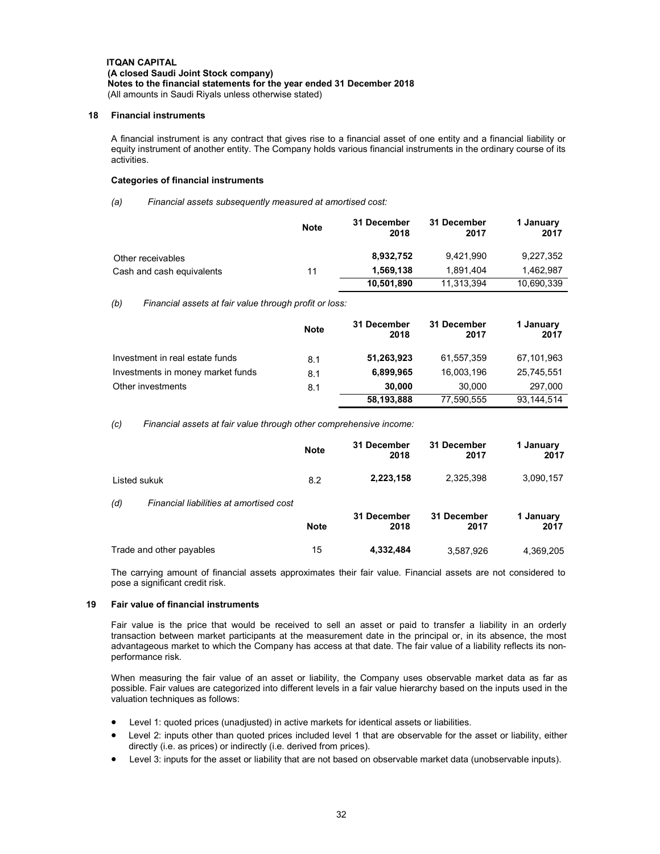# 18 Financial instruments

A financial instrument is any contract that gives rise to a financial asset of one entity and a financial liability or equity instrument of another entity. The Company holds various financial instruments in the ordinary course of its activities.

#### Categories of financial instruments

# (a) Financial assets subsequently measured at amortised cost:

|                           | <b>Note</b> | 31 December<br>2018 | 31 December<br>2017 | 1 January<br>2017 |
|---------------------------|-------------|---------------------|---------------------|-------------------|
| Other receivables         |             | 8,932,752           | 9.421.990           | 9.227.352         |
| Cash and cash equivalents | 11          | 1.569.138           | 1.891.404           | 1.462.987         |
|                           |             | 10,501,890          | 11,313,394          | 10,690,339        |

(b) Financial assets at fair value through profit or loss:

|                                   | <b>Note</b> | 31 December<br>2018 | 31 December<br>2017 | 1 January<br>2017 |
|-----------------------------------|-------------|---------------------|---------------------|-------------------|
| Investment in real estate funds   | 8.1         | 51,263,923          | 61,557,359          | 67,101,963        |
| Investments in money market funds | 8.1         | 6,899,965           | 16,003,196          | 25,745,551        |
| Other investments                 | 8.1         | 30,000              | 30.000              | 297,000           |
|                                   |             | 58,193,888          | 77,590,555          | 93, 144, 514      |

(c) Financial assets at fair value through other comprehensive income:

|                                                | <b>Note</b> | 31 December<br>2018 | 31 December<br>2017 | 1 January<br>2017 |
|------------------------------------------------|-------------|---------------------|---------------------|-------------------|
| Listed sukuk                                   | 8.2         | 2,223,158           | 2,325,398           | 3,090,157         |
| (d)<br>Financial liabilities at amortised cost | <b>Note</b> | 31 December<br>2018 | 31 December<br>2017 | 1 January<br>2017 |
| Trade and other payables                       | 15          | 4,332,484           | 3,587,926           | 4,369,205         |

The carrying amount of financial assets approximates their fair value. Financial assets are not considered to pose a significant credit risk.

#### 19 Fair value of financial instruments

Fair value is the price that would be received to sell an asset or paid to transfer a liability in an orderly transaction between market participants at the measurement date in the principal or, in its absence, the most advantageous market to which the Company has access at that date. The fair value of a liability reflects its nonperformance risk.

When measuring the fair value of an asset or liability, the Company uses observable market data as far as possible. Fair values are categorized into different levels in a fair value hierarchy based on the inputs used in the valuation techniques as follows:

- Level 1: quoted prices (unadjusted) in active markets for identical assets or liabilities.
- Level 2: inputs other than quoted prices included level 1 that are observable for the asset or liability, either directly (i.e. as prices) or indirectly (i.e. derived from prices).
- Level 3: inputs for the asset or liability that are not based on observable market data (unobservable inputs).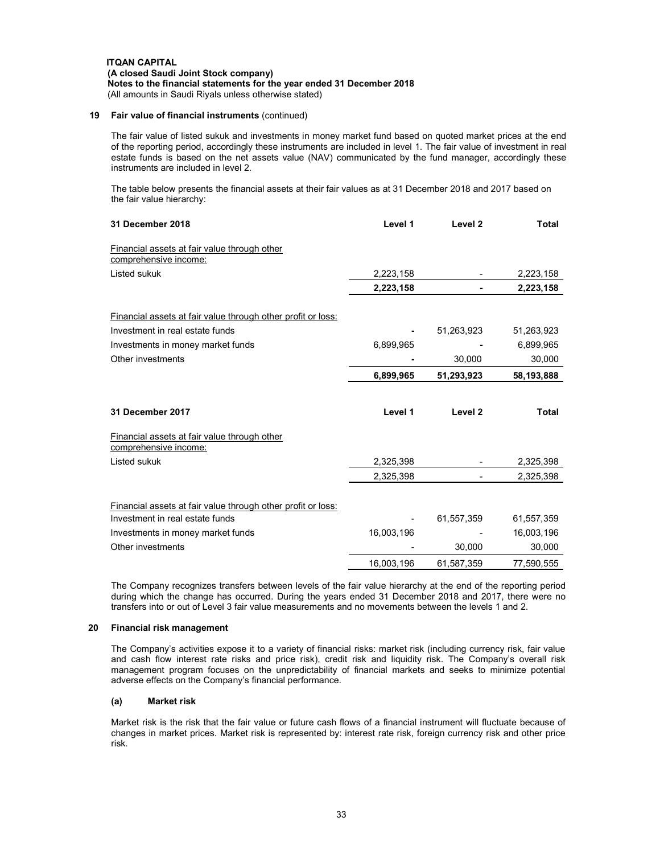# 19 Fair value of financial instruments (continued)

The fair value of listed sukuk and investments in money market fund based on quoted market prices at the end of the reporting period, accordingly these instruments are included in level 1. The fair value of investment in real estate funds is based on the net assets value (NAV) communicated by the fund manager, accordingly these instruments are included in level 2.

The table below presents the financial assets at their fair values as at 31 December 2018 and 2017 based on the fair value hierarchy:

| 31 December 2018                                                      | Level 1    | Level <sub>2</sub> | <b>Total</b> |
|-----------------------------------------------------------------------|------------|--------------------|--------------|
| Financial assets at fair value through other<br>comprehensive income: |            |                    |              |
| Listed sukuk                                                          | 2,223,158  |                    | 2,223,158    |
|                                                                       | 2,223,158  |                    | 2,223,158    |
| Financial assets at fair value through other profit or loss:          |            |                    |              |
| Investment in real estate funds                                       |            | 51,263,923         | 51,263,923   |
| Investments in money market funds                                     | 6,899,965  |                    | 6,899,965    |
| Other investments                                                     |            | 30,000             | 30,000       |
|                                                                       | 6,899,965  | 51,293,923         | 58,193,888   |
| 31 December 2017                                                      | Level 1    | Level <sub>2</sub> | <b>Total</b> |
| Financial assets at fair value through other<br>comprehensive income: |            |                    |              |
| Listed sukuk                                                          | 2,325,398  |                    | 2,325,398    |
|                                                                       | 2,325,398  |                    | 2,325,398    |
| Financial assets at fair value through other profit or loss:          |            |                    |              |
| Investment in real estate funds                                       |            | 61,557,359         | 61,557,359   |
| Investments in money market funds                                     | 16,003,196 |                    | 16,003,196   |
| Other investments                                                     |            | 30,000             | 30,000       |
|                                                                       | 16,003,196 | 61,587,359         | 77,590,555   |

The Company recognizes transfers between levels of the fair value hierarchy at the end of the reporting period during which the change has occurred. During the years ended 31 December 2018 and 2017, there were no transfers into or out of Level 3 fair value measurements and no movements between the levels 1 and 2.

# 20 Financial risk management

The Company's activities expose it to a variety of financial risks: market risk (including currency risk, fair value and cash flow interest rate risks and price risk), credit risk and liquidity risk. The Company's overall risk management program focuses on the unpredictability of financial markets and seeks to minimize potential adverse effects on the Company's financial performance.

# (a) Market risk

Market risk is the risk that the fair value or future cash flows of a financial instrument will fluctuate because of changes in market prices. Market risk is represented by: interest rate risk, foreign currency risk and other price risk.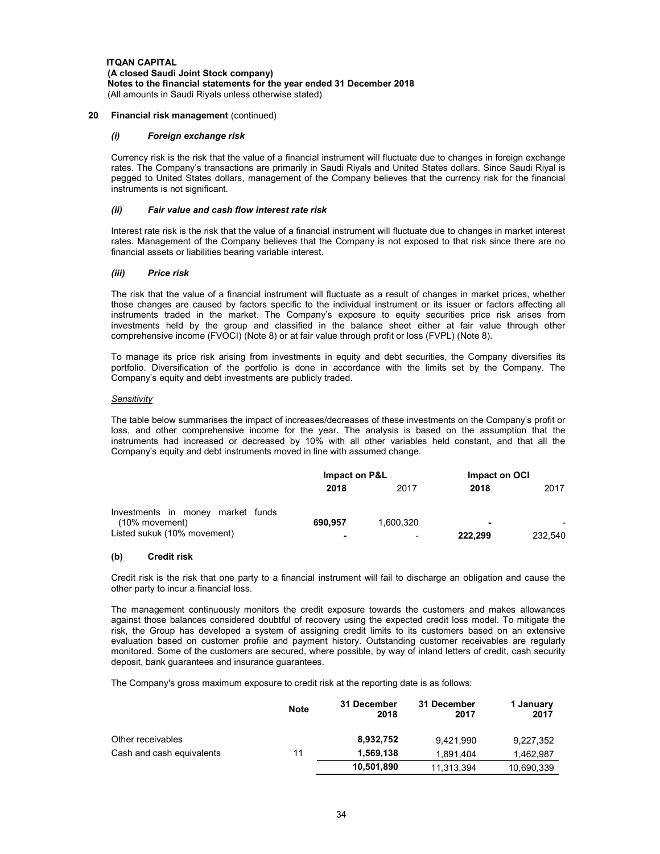# 20 Financial risk management (continued)

#### (i) Foreign exchange risk

Currency risk is the risk that the value of a financial instrument will fluctuate due to changes in foreign exchange rates. The Company's transactions are primarily in Saudi Riyals and United States dollars. Since Saudi Riyal is pegged to United States dollars, management of the Company believes that the currency risk for the financial instruments is not significant.

#### (ii) Fair value and cash flow interest rate risk

Interest rate risk is the risk that the value of a financial instrument will fluctuate due to changes in market interest rates. Management of the Company believes that the Company is not exposed to that risk since there are no financial assets or liabilities bearing variable interest.

#### (iii) Price risk

The risk that the value of a financial instrument will fluctuate as a result of changes in market prices, whether those changes are caused by factors specific to the individual instrument or its issuer or factors affecting all instruments traded in the market. The Company's exposure to equity securities price risk arises from investments held by the group and classified in the balance sheet either at fair value through other comprehensive income (FVOCI) (Note 8) or at fair value through profit or loss (FVPL) (Note 8).

To manage its price risk arising from investments in equity and debt securities, the Company diversifies its portfolio. Diversification of the portfolio is done in accordance with the limits set by the Company. The Company's equity and debt investments are publicly traded.

#### **Sensitivity**

The table below summarises the impact of increases/decreases of these investments on the Company's profit or loss, and other comprehensive income for the year. The analysis is based on the assumption that the instruments had increased or decreased by 10% with all other variables held constant, and that all the Company's equity and debt instruments moved in line with assumed change.

|                                      | Impact on P&L  |           | Impact on OCI |         |
|--------------------------------------|----------------|-----------|---------------|---------|
|                                      | 2018           | 2017      | 2018          | 2017    |
| Investments in money<br>market funds |                |           |               |         |
| $(10\%$ movement)                    | 690.957        | 1.600.320 |               |         |
| Listed sukuk (10% movement)          | $\blacksquare$ | -         | 222.299       | 232.540 |

# (b) Credit risk

Credit risk is the risk that one party to a financial instrument will fail to discharge an obligation and cause the other party to incur a financial loss.

The management continuously monitors the credit exposure towards the customers and makes allowances against those balances considered doubtful of recovery using the expected credit loss model. To mitigate the risk, the Group has developed a system of assigning credit limits to its customers based on an extensive evaluation based on customer profile and payment history. Outstanding customer receivables are regularly monitored. Some of the customers are secured, where possible, by way of inland letters of credit, cash security deposit, bank guarantees and insurance guarantees.

The Company's gross maximum exposure to credit risk at the reporting date is as follows:

|                           | <b>Note</b> | 31 December<br>2018 | 31 December<br>2017 | 1 January<br>2017 |
|---------------------------|-------------|---------------------|---------------------|-------------------|
| Other receivables         |             | 8,932,752           | 9.421.990           | 9,227,352         |
| Cash and cash equivalents | 11          | 1,569,138           | 1.891.404           | 1,462,987         |
|                           |             | 10,501,890          | 11,313,394          | 10,690,339        |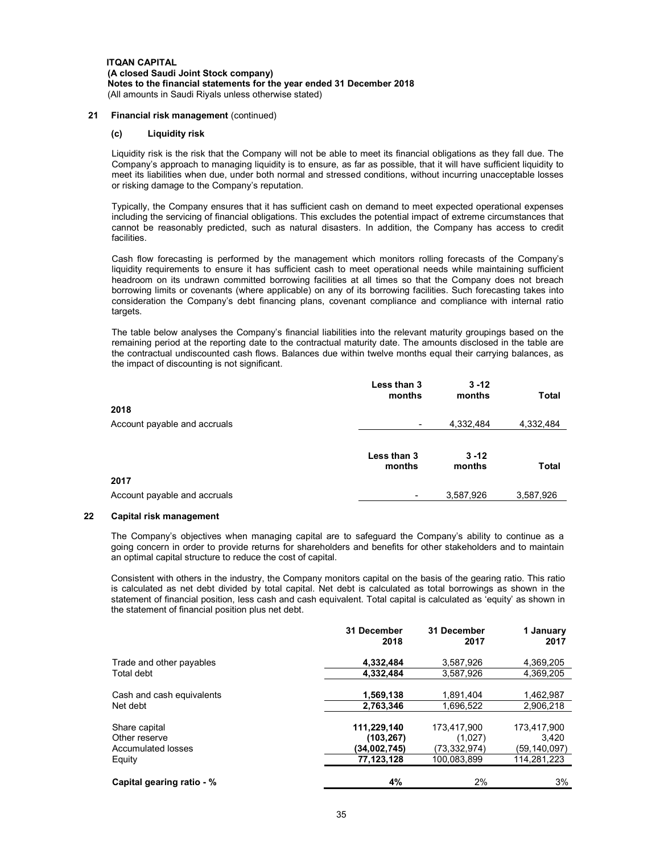#### 21 Financial risk management (continued)

#### (c) Liquidity risk

Liquidity risk is the risk that the Company will not be able to meet its financial obligations as they fall due. The Company's approach to managing liquidity is to ensure, as far as possible, that it will have sufficient liquidity to meet its liabilities when due, under both normal and stressed conditions, without incurring unacceptable losses or risking damage to the Company's reputation.

Typically, the Company ensures that it has sufficient cash on demand to meet expected operational expenses including the servicing of financial obligations. This excludes the potential impact of extreme circumstances that cannot be reasonably predicted, such as natural disasters. In addition, the Company has access to credit facilities.

Cash flow forecasting is performed by the management which monitors rolling forecasts of the Company's liquidity requirements to ensure it has sufficient cash to meet operational needs while maintaining sufficient headroom on its undrawn committed borrowing facilities at all times so that the Company does not breach borrowing limits or covenants (where applicable) on any of its borrowing facilities. Such forecasting takes into consideration the Company's debt financing plans, covenant compliance and compliance with internal ratio targets.

The table below analyses the Company's financial liabilities into the relevant maturity groupings based on the remaining period at the reporting date to the contractual maturity date. The amounts disclosed in the table are the contractual undiscounted cash flows. Balances due within twelve months equal their carrying balances, as the impact of discounting is not significant.

| <b>Total</b> |
|--------------|
|              |
| 4,332,484    |
|              |
|              |
| <b>Total</b> |
|              |
| 3,587,926    |
|              |

# 22 Capital risk management

The Company's objectives when managing capital are to safeguard the Company's ability to continue as a going concern in order to provide returns for shareholders and benefits for other stakeholders and to maintain an optimal capital structure to reduce the cost of capital.

Consistent with others in the industry, the Company monitors capital on the basis of the gearing ratio. This ratio is calculated as net debt divided by total capital. Net debt is calculated as total borrowings as shown in the statement of financial position, less cash and cash equivalent. Total capital is calculated as 'equity' as shown in the statement of financial position plus net debt.

|                                                      | 31 December<br>2018                      | 31 December<br>2017                    | 1 January<br>2017                    |
|------------------------------------------------------|------------------------------------------|----------------------------------------|--------------------------------------|
| Trade and other payables                             | 4,332,484                                | 3,587,926                              | 4,369,205                            |
| Total debt                                           | 4.332.484                                | 3.587.926                              | 4.369.205                            |
| Cash and cash equivalents<br>Net debt                | 1,569,138<br>2,763,346                   | 1,891,404<br>1,696,522                 | 1,462,987<br>2,906,218               |
| Share capital<br>Other reserve<br>Accumulated losses | 111,229,140<br>(103,267)<br>(34,002,745) | 173.417.900<br>(1,027)<br>(73.332,974) | 173.417.900<br>3.420<br>(59,140,097) |
| Equity                                               | 77,123,128                               | 100,083,899                            | 114,281,223                          |
| Capital gearing ratio - %                            | 4%                                       | 2%                                     | 3%                                   |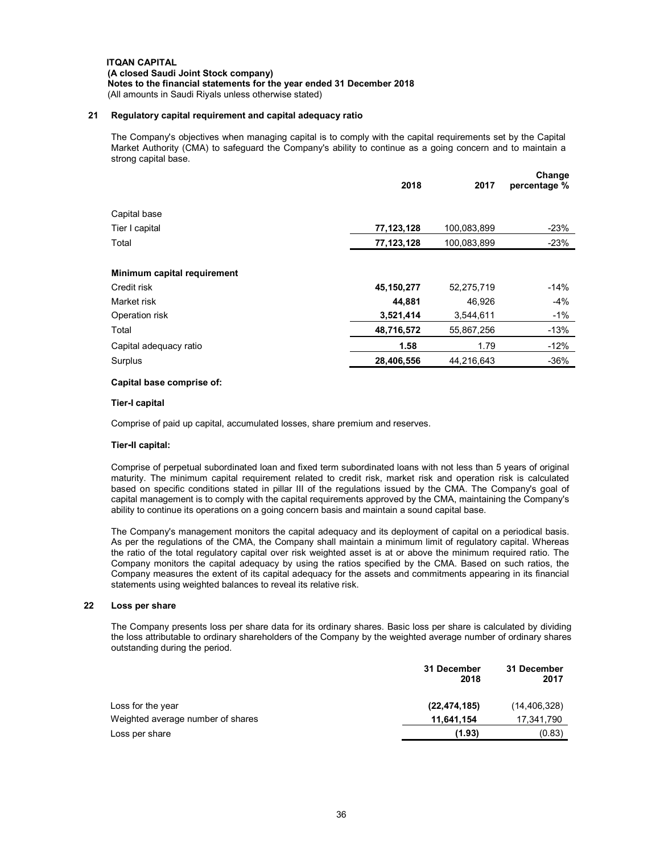# 21 Regulatory capital requirement and capital adequacy ratio

The Company's objectives when managing capital is to comply with the capital requirements set by the Capital Market Authority (CMA) to safeguard the Company's ability to continue as a going concern and to maintain a strong capital base.

|                                                           | 2018                 | 2017                 | Change<br>percentage % |
|-----------------------------------------------------------|----------------------|----------------------|------------------------|
| Capital base                                              |                      |                      |                        |
| Tier I capital                                            | 77,123,128           | 100,083,899          | $-23%$                 |
| Total                                                     | 77,123,128           | 100,083,899          | $-23%$                 |
| Minimum capital requirement<br>Credit risk<br>Market risk | 45,150,277<br>44,881 | 52,275,719<br>46,926 | $-14%$<br>$-4%$        |
| Operation risk                                            | 3,521,414            | 3,544,611            | $-1%$                  |
| Total                                                     | 48,716,572           | 55,867,256           | $-13%$                 |
| Capital adequacy ratio                                    | 1.58                 | 1.79                 | $-12%$                 |
| Surplus                                                   | 28,406,556           | 44,216,643           | $-36%$                 |

# Capital base comprise of:

#### Tier-I capital

Comprise of paid up capital, accumulated losses, share premium and reserves.

#### Tier-II capital:

Comprise of perpetual subordinated loan and fixed term subordinated loans with not less than 5 years of original maturity. The minimum capital requirement related to credit risk, market risk and operation risk is calculated based on specific conditions stated in pillar III of the regulations issued by the CMA. The Company's goal of capital management is to comply with the capital requirements approved by the CMA, maintaining the Company's ability to continue its operations on a going concern basis and maintain a sound capital base.

The Company's management monitors the capital adequacy and its deployment of capital on a periodical basis. As per the regulations of the CMA, the Company shall maintain a minimum limit of regulatory capital. Whereas the ratio of the total regulatory capital over risk weighted asset is at or above the minimum required ratio. The Company monitors the capital adequacy by using the ratios specified by the CMA. Based on such ratios, the Company measures the extent of its capital adequacy for the assets and commitments appearing in its financial statements using weighted balances to reveal its relative risk.

#### 22 Loss per share

The Company presents loss per share data for its ordinary shares. Basic loss per share is calculated by dividing the loss attributable to ordinary shareholders of the Company by the weighted average number of ordinary shares outstanding during the period.

|                                   | 31 December<br>2018 | 31 December<br>2017 |
|-----------------------------------|---------------------|---------------------|
| Loss for the year                 | (22, 474, 185)      | (14, 406, 328)      |
| Weighted average number of shares | 11.641.154          | 17,341,790          |
| Loss per share                    | (1.93)              | (0.83)              |